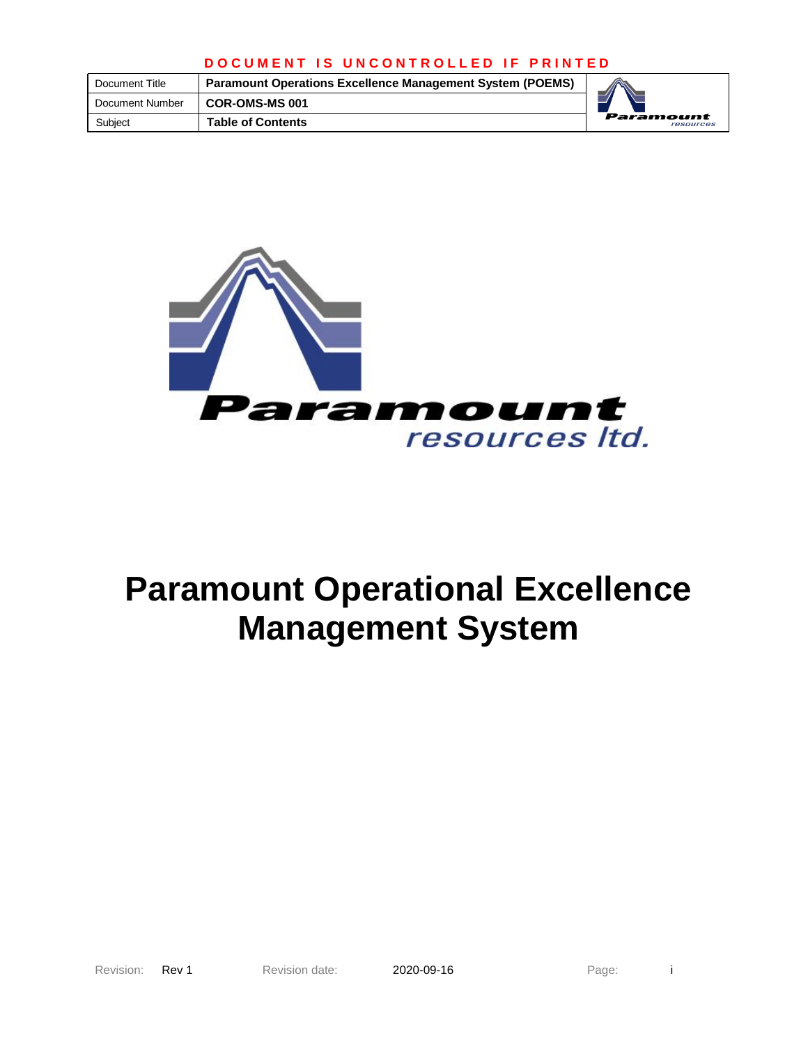| Document Title  | <b>Paramount Operations Excellence Management System (POEMS)</b> |                        |
|-----------------|------------------------------------------------------------------|------------------------|
| Document Number | <b>COR-OMS-MS 001</b>                                            |                        |
| Subject         | <b>Table of Contents</b>                                         | Paramount<br>resources |



# **Paramount Operational Excellence Management System**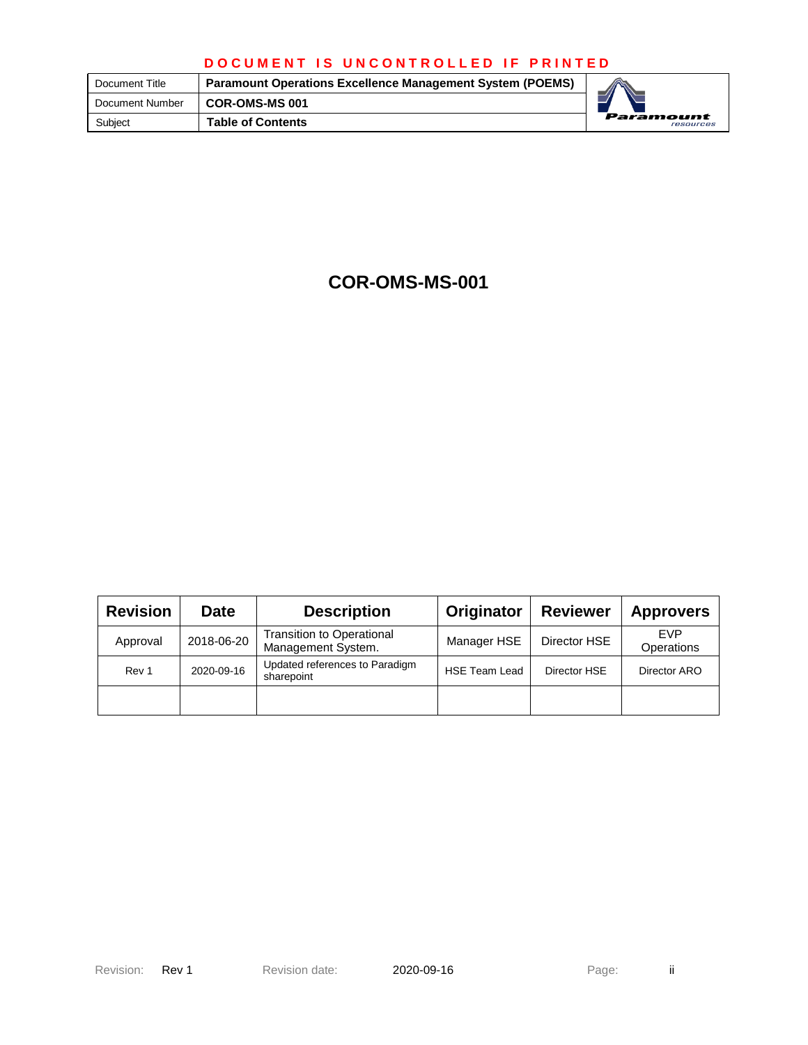| Document Title  | <b>Paramount Operations Excellence Management System (POEMS)</b> |                        |
|-----------------|------------------------------------------------------------------|------------------------|
| Document Number | <b>COR-OMS-MS 001</b>                                            |                        |
| Subject         | <b>Table of Contents</b>                                         | Paramount<br>resources |

### **COR-OMS-MS-001**

| <b>Revision</b>  | <b>Date</b> | <b>Description</b>                                     | Originator           | <b>Reviewer</b> | <b>Approvers</b>         |
|------------------|-------------|--------------------------------------------------------|----------------------|-----------------|--------------------------|
| Approval         | 2018-06-20  | <b>Transition to Operational</b><br>Management System. | Manager HSE          | Director HSE    | <b>EVP</b><br>Operations |
| Rev <sub>1</sub> | 2020-09-16  | Updated references to Paradigm<br>sharepoint           | <b>HSE Team Lead</b> | Director HSE    | Director ARO             |
|                  |             |                                                        |                      |                 |                          |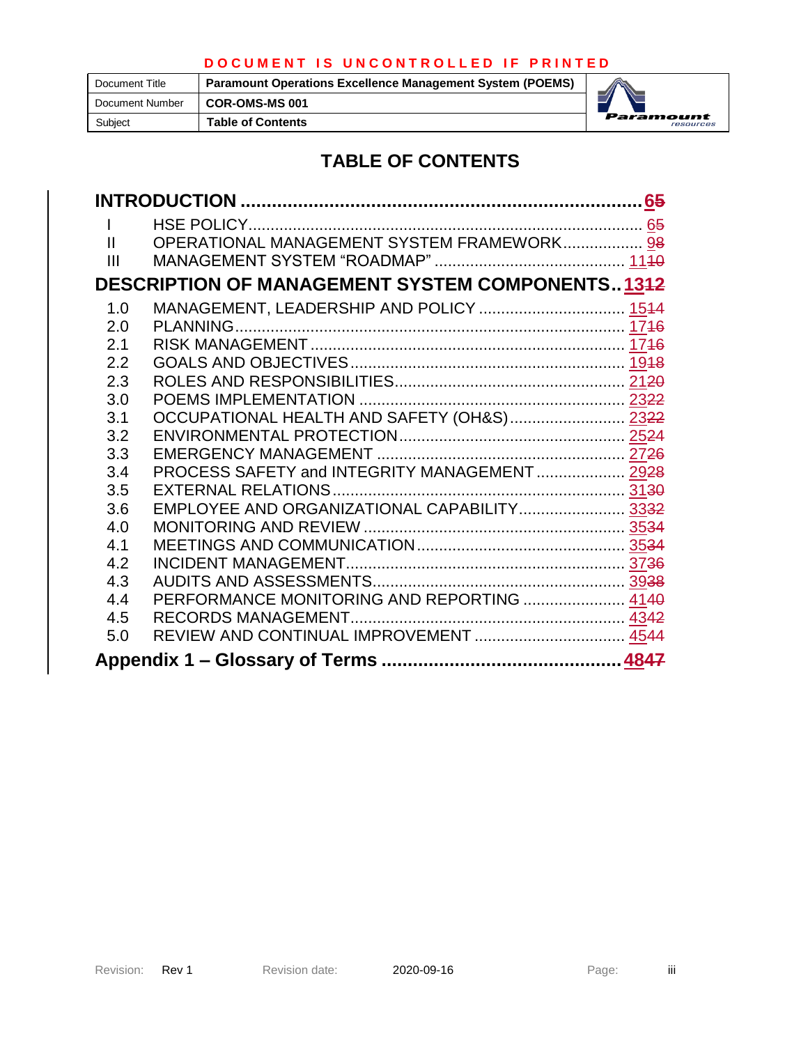| Document Title  | <b>Paramount Operations Excellence Management System (POEMS)</b> |                        |
|-----------------|------------------------------------------------------------------|------------------------|
| Document Number | <b>COR-OMS-MS 001</b>                                            |                        |
| Subject         | <b>Table of Contents</b>                                         | Paramount<br>resources |

### **TABLE OF CONTENTS**

| $\mathbf{L}$  |                                                        |  |
|---------------|--------------------------------------------------------|--|
| $\mathbf{II}$ | OPERATIONAL MANAGEMENT SYSTEM FRAMEWORK 98             |  |
| III           |                                                        |  |
|               | <b>DESCRIPTION OF MANAGEMENT SYSTEM COMPONENTS1342</b> |  |
| 1.0           | MANAGEMENT, LEADERSHIP AND POLICY  1544                |  |
| 2.0           |                                                        |  |
| 2.1           |                                                        |  |
| 2.2           |                                                        |  |
| 2.3           |                                                        |  |
| 3.0           |                                                        |  |
| 3.1           | OCCUPATIONAL HEALTH AND SAFETY (OH&S) 2322             |  |
| 3.2           |                                                        |  |
| 3.3           |                                                        |  |
| 3.4           | PROCESS SAFETY and INTEGRITY MANAGEMENT 2928           |  |
| 3.5           |                                                        |  |
| 3.6           | EMPLOYEE AND ORGANIZATIONAL CAPABILITY 3332            |  |
| 4.0           |                                                        |  |
| 4.1           |                                                        |  |
| 4.2           |                                                        |  |
| 4.3           |                                                        |  |
| 4.4           | PERFORMANCE MONITORING AND REPORTING  4140             |  |
| 4.5           |                                                        |  |
| 5.0           |                                                        |  |
|               |                                                        |  |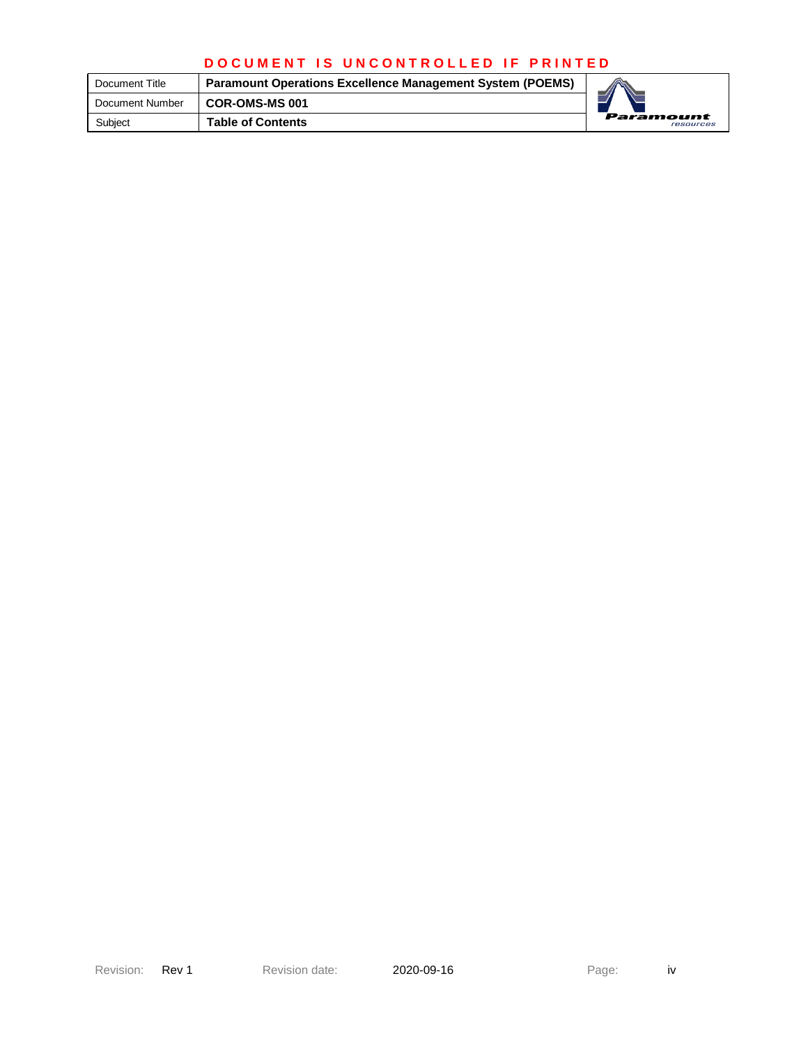| Document Title  | <b>Paramount Operations Excellence Management System (POEMS)</b> |                        |
|-----------------|------------------------------------------------------------------|------------------------|
| Document Number | <b>COR-OMS-MS 001</b>                                            |                        |
| Subject         | <b>Table of Contents</b>                                         | Paramount<br>resources |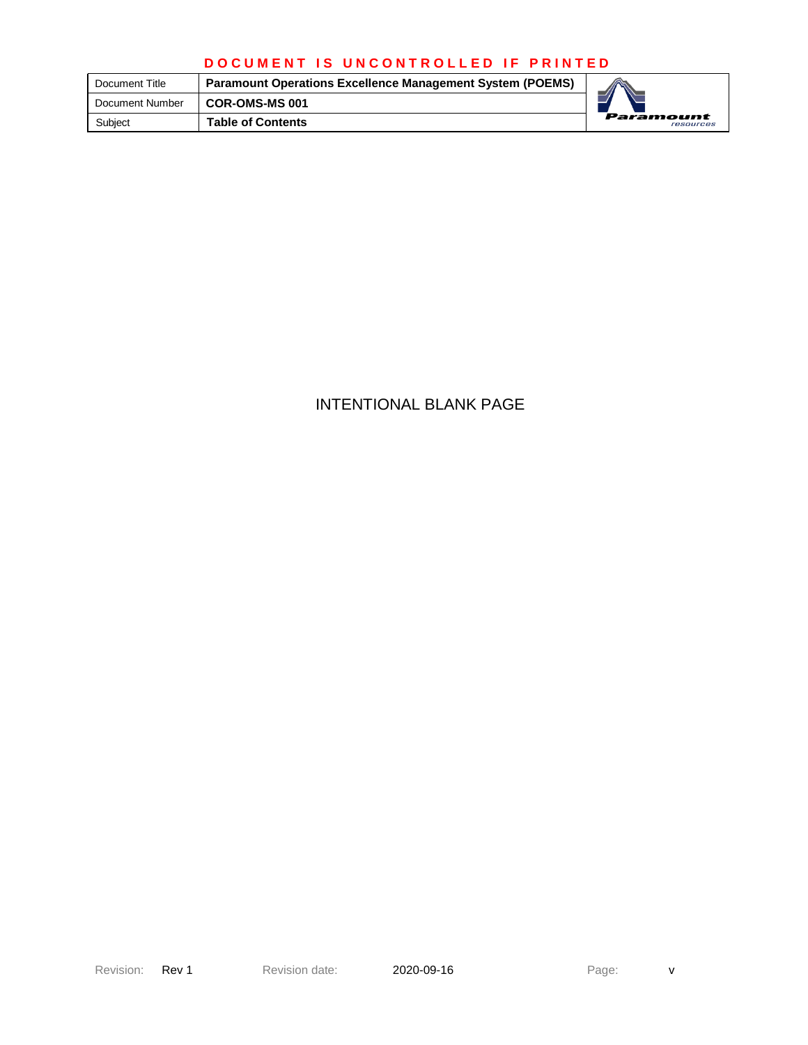| Document Title  | <b>Paramount Operations Excellence Management System (POEMS)</b> |                        |
|-----------------|------------------------------------------------------------------|------------------------|
| Document Number | <b>COR-OMS-MS 001</b>                                            |                        |
| Subject         | <b>Table of Contents</b>                                         | Paramount<br>resources |

### INTENTIONAL BLANK PAGE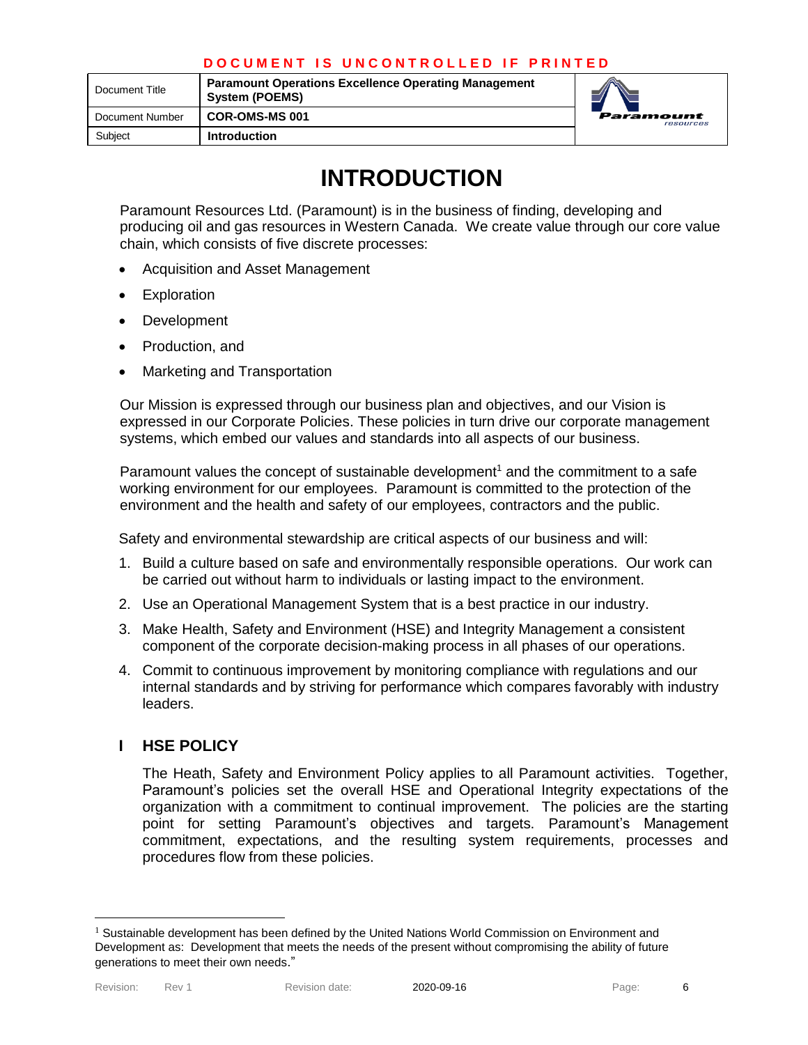| Document Title  | <b>Paramount Operations Excellence Operating Management</b><br><b>System (POEMS)</b> |                        |
|-----------------|--------------------------------------------------------------------------------------|------------------------|
| Document Number | <b>COR-OMS-MS 001</b>                                                                | Paramount<br>resources |
| Subiect         | <b>Introduction</b>                                                                  |                        |

## **INTRODUCTION**

<span id="page-5-0"></span>Paramount Resources Ltd. (Paramount) is in the business of finding, developing and producing oil and gas resources in Western Canada. We create value through our core value chain, which consists of five discrete processes:

- Acquisition and Asset Management
- **Exploration**
- Development
- Production, and
- Marketing and Transportation

Our Mission is expressed through our business plan and objectives, and our Vision is expressed in our Corporate Policies. These policies in turn drive our corporate management systems, which embed our values and standards into all aspects of our business.

Paramount values the concept of sustainable development<sup>1</sup> and the commitment to a safe working environment for our employees. Paramount is committed to the protection of the environment and the health and safety of our employees, contractors and the public.

Safety and environmental stewardship are critical aspects of our business and will:

- 1. Build a culture based on safe and environmentally responsible operations. Our work can be carried out without harm to individuals or lasting impact to the environment.
- 2. Use an Operational Management System that is a best practice in our industry.
- 3. Make Health, Safety and Environment (HSE) and Integrity Management a consistent component of the corporate decision-making process in all phases of our operations.
- 4. Commit to continuous improvement by monitoring compliance with regulations and our internal standards and by striving for performance which compares favorably with industry leaders.

### <span id="page-5-1"></span>**I HSE POLICY**

The Heath, Safety and Environment Policy applies to all Paramount activities. Together, Paramount's policies set the overall HSE and Operational Integrity expectations of the organization with a commitment to continual improvement. The policies are the starting point for setting Paramount's objectives and targets. Paramount's Management commitment, expectations, and the resulting system requirements, processes and procedures flow from these policies.

 $\overline{a}$ 

<sup>&</sup>lt;sup>1</sup> Sustainable development has been defined by the United Nations World Commission on Environment and Development as: Development that meets the needs of the present without compromising the ability of future generations to meet their own needs."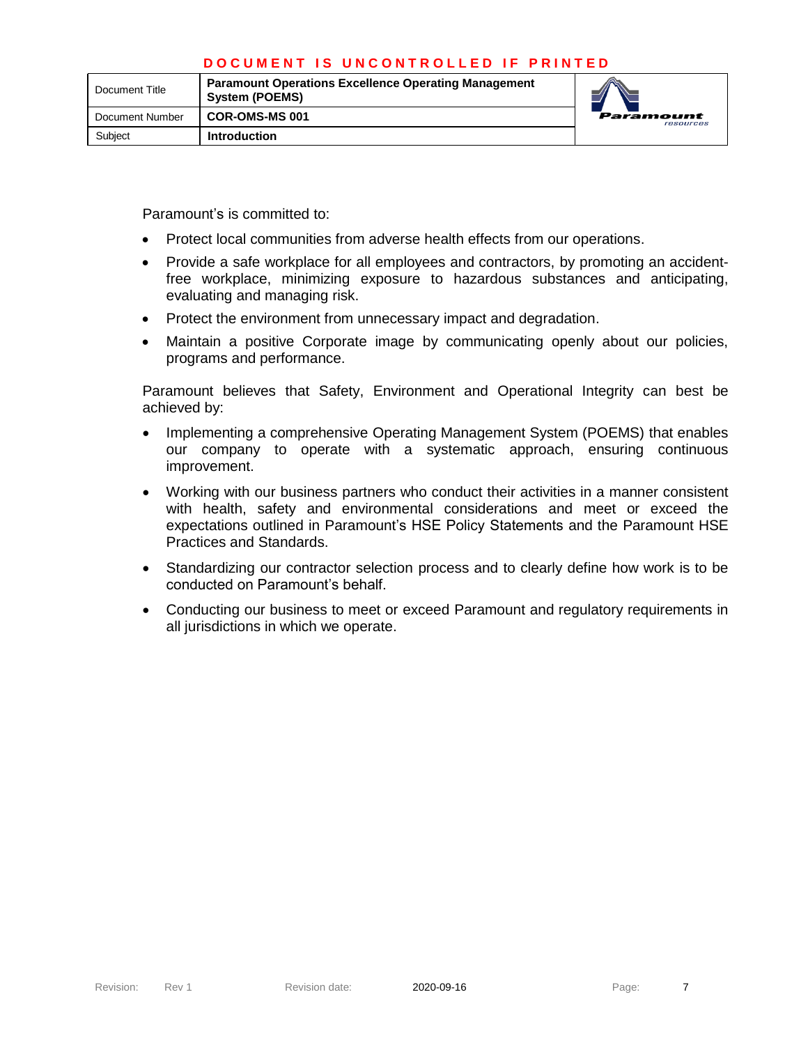| Document Title  | <b>Paramount Operations Excellence Operating Management</b><br><b>System (POEMS)</b> |                        |
|-----------------|--------------------------------------------------------------------------------------|------------------------|
| Document Number | <b>COR-OMS-MS 001</b>                                                                | Paramount<br>resources |
| Subject         | <b>Introduction</b>                                                                  |                        |

Paramount's is committed to:

- Protect local communities from adverse health effects from our operations.
- Provide a safe workplace for all employees and contractors, by promoting an accidentfree workplace, minimizing exposure to hazardous substances and anticipating, evaluating and managing risk.
- Protect the environment from unnecessary impact and degradation.
- Maintain a positive Corporate image by communicating openly about our policies, programs and performance.

Paramount believes that Safety, Environment and Operational Integrity can best be achieved by:

- Implementing a comprehensive Operating Management System (POEMS) that enables our company to operate with a systematic approach, ensuring continuous improvement.
- Working with our business partners who conduct their activities in a manner consistent with health, safety and environmental considerations and meet or exceed the expectations outlined in Paramount's HSE Policy Statements and the Paramount HSE Practices and Standards.
- Standardizing our contractor selection process and to clearly define how work is to be conducted on Paramount's behalf.
- Conducting our business to meet or exceed Paramount and regulatory requirements in all jurisdictions in which we operate.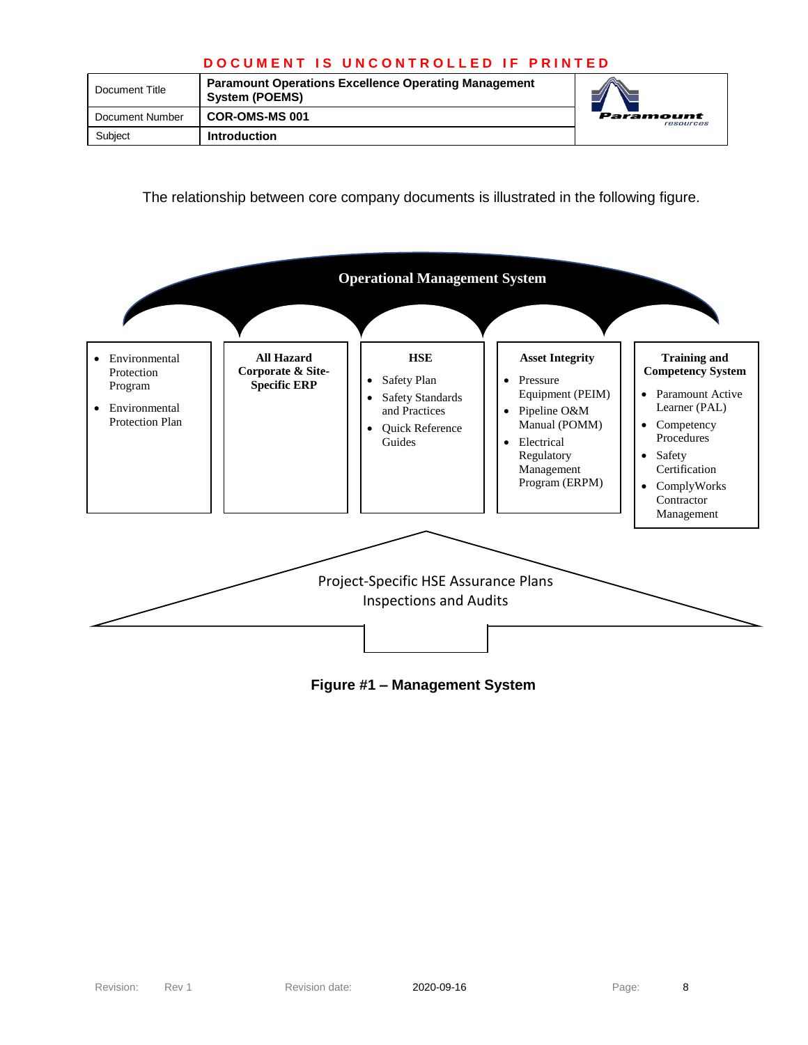| Document Title  | <b>Paramount Operations Excellence Operating Management</b><br><b>System (POEMS)</b> |                        |
|-----------------|--------------------------------------------------------------------------------------|------------------------|
| Document Number | <b>COR-OMS-MS 001</b>                                                                | Paramount<br>resources |
| Subject         | <b>Introduction</b>                                                                  |                        |

The relationship between core company documents is illustrated in the following figure.



**Figure #1 – Management System**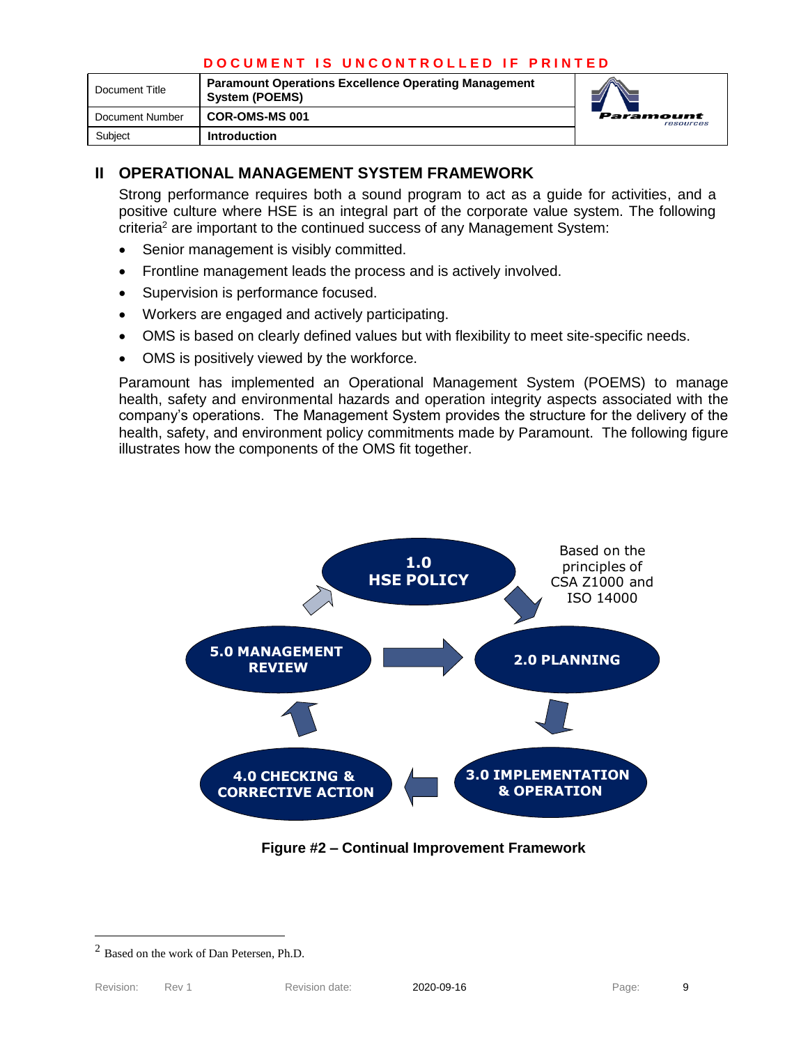| Document Title  | <b>Paramount Operations Excellence Operating Management</b><br><b>System (POEMS)</b> |  |
|-----------------|--------------------------------------------------------------------------------------|--|
| Document Number | <b>COR-OMS-MS 001</b>                                                                |  |
| Subject         | <b>Introduction</b>                                                                  |  |



### <span id="page-8-0"></span>**II OPERATIONAL MANAGEMENT SYSTEM FRAMEWORK**

Strong performance requires both a sound program to act as a guide for activities, and a positive culture where HSE is an integral part of the corporate value system. The following criteria<sup>2</sup> are important to the continued success of any Management System:

- Senior management is visibly committed.
- Frontline management leads the process and is actively involved.
- Supervision is performance focused.
- Workers are engaged and actively participating.
- OMS is based on clearly defined values but with flexibility to meet site-specific needs.
- OMS is positively viewed by the workforce.

Paramount has implemented an Operational Management System (POEMS) to manage health, safety and environmental hazards and operation integrity aspects associated with the company's operations. The Management System provides the structure for the delivery of the health, safety, and environment policy commitments made by Paramount. The following figure illustrates how the components of the OMS fit together.



### **Figure #2 – Continual Improvement Framework**

 $\overline{a}$ 

<sup>&</sup>lt;sup>2</sup> Based on the work of Dan Petersen, Ph.D.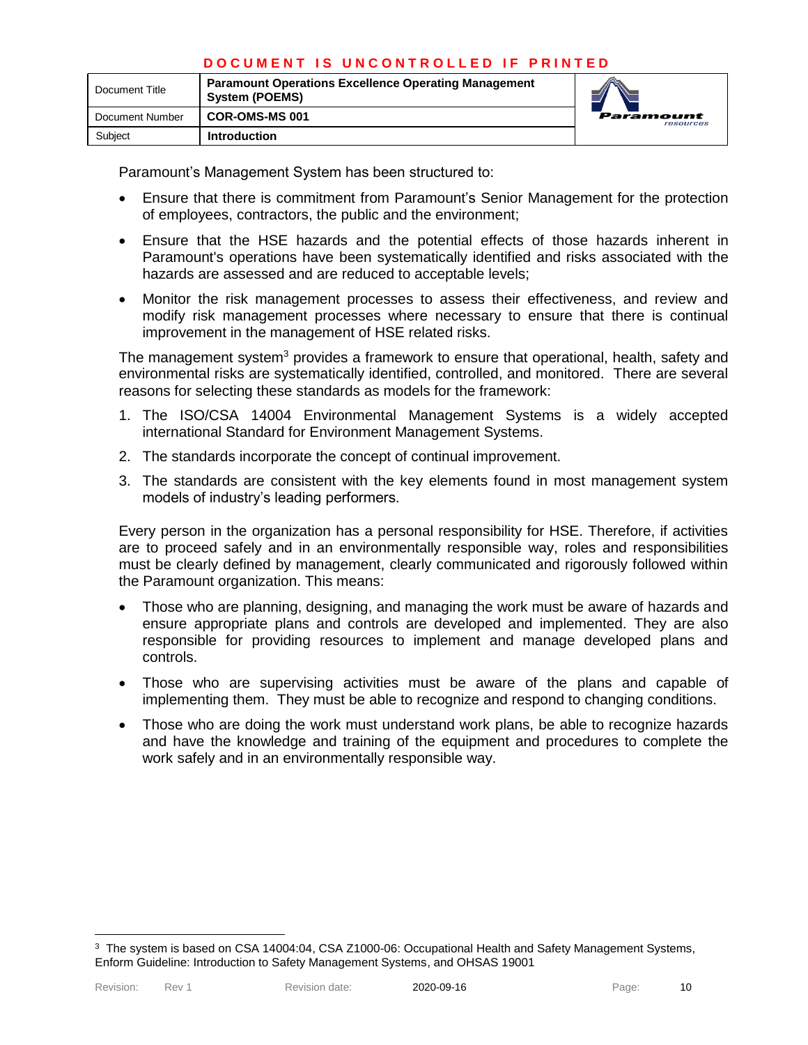<span id="page-9-0"></span>

| Document Title  | <b>Paramount Operations Excellence Operating Management</b><br><b>System (POEMS)</b> |                        |
|-----------------|--------------------------------------------------------------------------------------|------------------------|
| Document Number | <b>COR-OMS-MS 001</b>                                                                | Paramount<br>resources |
| Subject         | <b>Introduction</b>                                                                  |                        |

Paramount's Management System has been structured to:

- Ensure that there is commitment from Paramount's Senior Management for the protection of employees, contractors, the public and the environment;
- Ensure that the HSE hazards and the potential effects of those hazards inherent in Paramount's operations have been systematically identified and risks associated with the hazards are assessed and are reduced to acceptable levels;
- Monitor the risk management processes to assess their effectiveness, and review and modify risk management processes where necessary to ensure that there is continual improvement in the management of HSE related risks.

The management system<sup>3</sup> provides a framework to ensure that operational, health, safety and environmental risks are systematically identified, controlled, and monitored. There are several reasons for selecting these standards as models for the framework:

- 1. The ISO/CSA 14004 Environmental Management Systems is a widely accepted international Standard for Environment Management Systems.
- 2. The standards incorporate the concept of continual improvement.
- 3. The standards are consistent with the key elements found in most management system models of industry's leading performers.

Every person in the organization has a personal responsibility for HSE. Therefore, if activities are to proceed safely and in an environmentally responsible way, roles and responsibilities must be clearly defined by management, clearly communicated and rigorously followed within the Paramount organization. This means:

- Those who are planning, designing, and managing the work must be aware of hazards and ensure appropriate plans and controls are developed and implemented. They are also responsible for providing resources to implement and manage developed plans and controls.
- Those who are supervising activities must be aware of the plans and capable of implementing them. They must be able to recognize and respond to changing conditions.
- Those who are doing the work must understand work plans, be able to recognize hazards and have the knowledge and training of the equipment and procedures to complete the work safely and in an environmentally responsible way.

 $\overline{a}$ 

<sup>&</sup>lt;sup>3</sup> The system is based on CSA 14004:04, CSA Z1000-06: Occupational Health and Safety Management Systems, Enform Guideline: Introduction to Safety Management Systems, and OHSAS 19001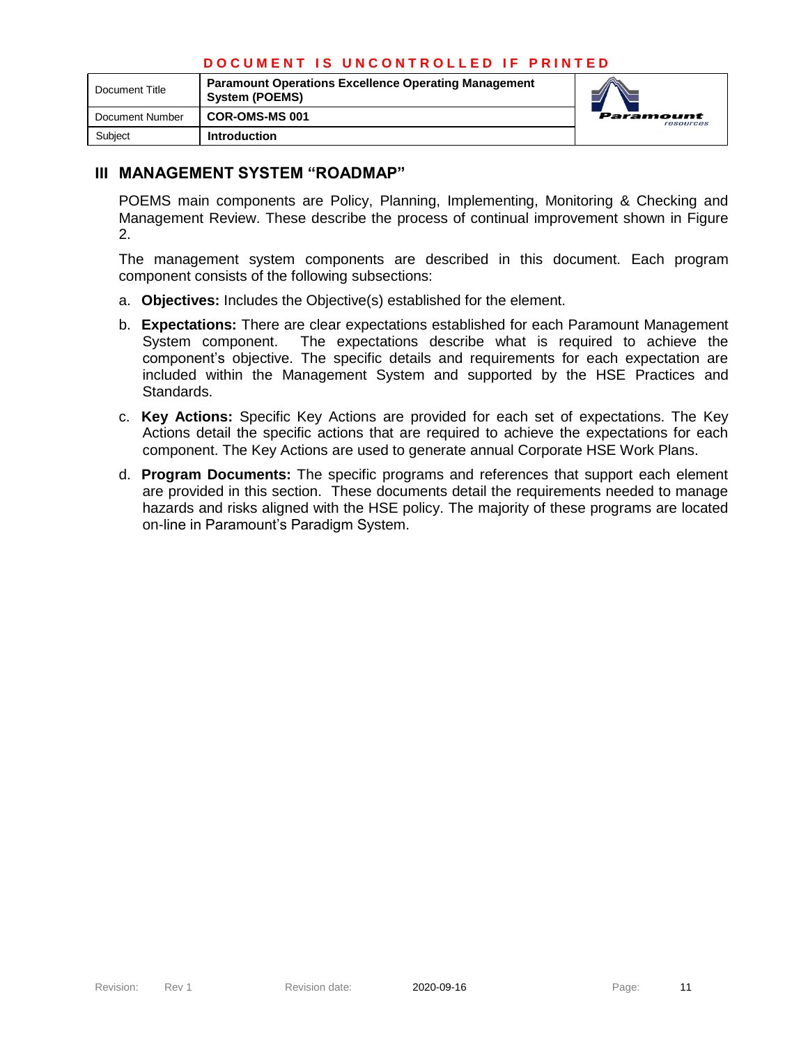| Document Title  | <b>Paramount Operations Excellence Operating Management</b><br><b>System (POEMS)</b> |       |
|-----------------|--------------------------------------------------------------------------------------|-------|
| Document Number | <b>COR-OMS-MS 001</b>                                                                | Parar |
| Subject         | <b>Introduction</b>                                                                  |       |



#### **III MANAGEMENT SYSTEM "ROADMAP"**

POEMS main components are Policy, Planning, Implementing, Monitoring & Checking and Management Review. These describe the process of continual improvement shown in Figure 2.

The management system components are described in this document. Each program component consists of the following subsections:

- a. **Objectives:** Includes the Objective(s) established for the element.
- b. **Expectations:** There are clear expectations established for each Paramount Management System component. The expectations describe what is required to achieve the component's objective. The specific details and requirements for each expectation are included within the Management System and supported by the HSE Practices and Standards.
- c. **Key Actions:** Specific Key Actions are provided for each set of expectations. The Key Actions detail the specific actions that are required to achieve the expectations for each component. The Key Actions are used to generate annual Corporate HSE Work Plans.
- d. **Program Documents:** The specific programs and references that support each element are provided in this section. These documents detail the requirements needed to manage hazards and risks aligned with the HSE policy. The majority of these programs are located on-line in Paramount's Paradigm System.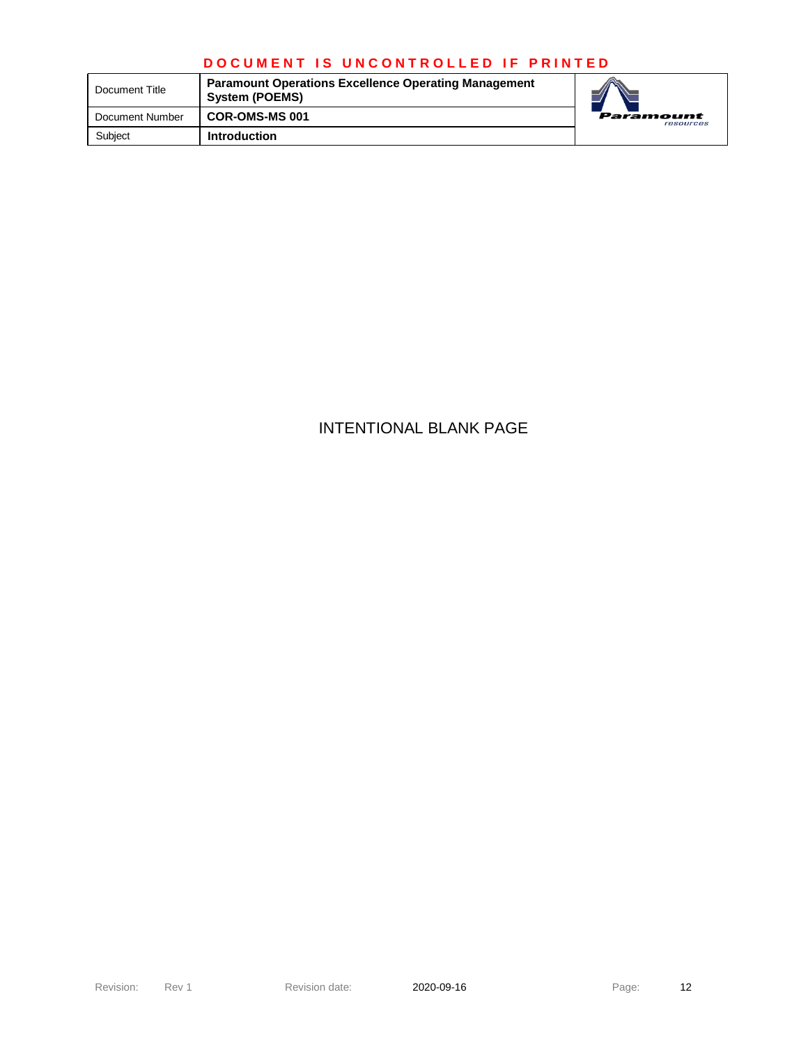| Document Title  | <b>Paramount Operations Excellence Operating Management</b><br><b>System (POEMS)</b> |                        |
|-----------------|--------------------------------------------------------------------------------------|------------------------|
| Document Number | <b>COR-OMS-MS 001</b>                                                                | Paramount<br>resources |
| Subject         | <b>Introduction</b>                                                                  |                        |

### INTENTIONAL BLANK PAGE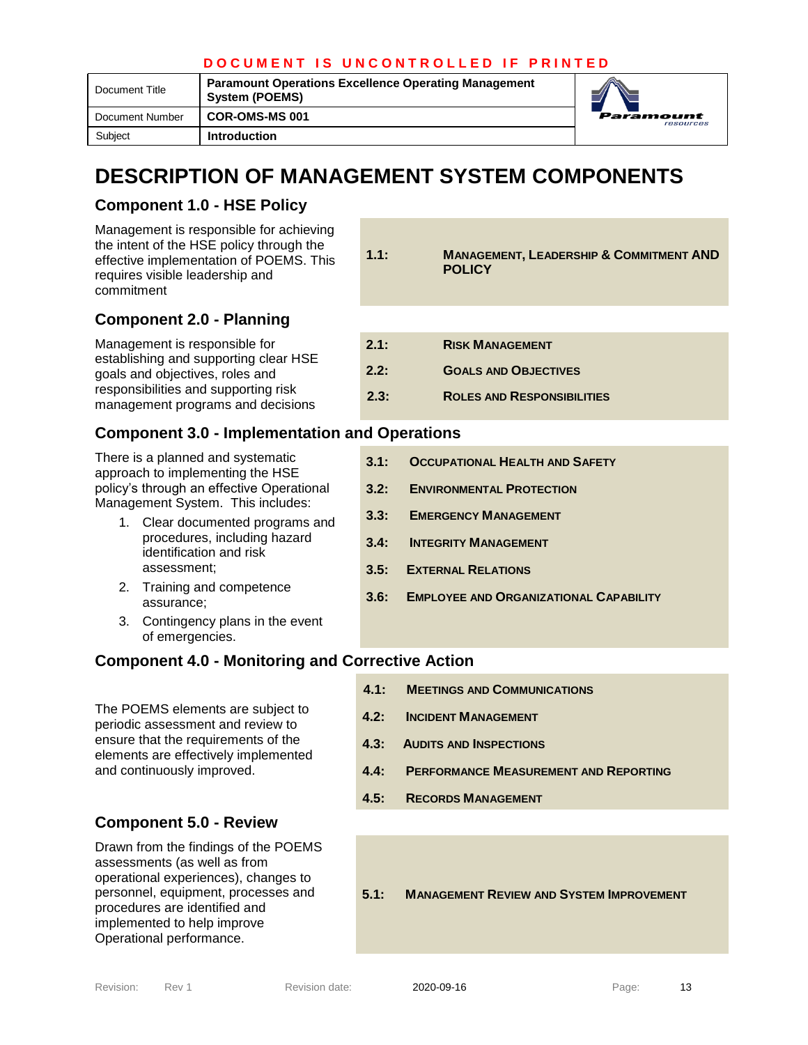| Document Title  | <b>Paramount Operations Excellence Operating Management</b><br><b>System (POEMS)</b> | Paramount<br><i>resource.</i> |
|-----------------|--------------------------------------------------------------------------------------|-------------------------------|
| Document Number | <b>COR-OMS-MS 001</b>                                                                |                               |
| Subject         | <b>Introduction</b>                                                                  |                               |

## <span id="page-12-0"></span>**DESCRIPTION OF MANAGEMENT SYSTEM COMPONENTS**

### **Component 1.0 - HSE Policy**

Management is responsible for achieving the intent of the HSE policy through the effective implementation of POEMS. This requires visible leadership and commitment

#### **1.1: MANAGEMENT, LEADERSHIP & COMMITMENT AND POLICY**

### **Component 2.0 - Planning**

Management is responsible for establishing and supporting clear HSE goals and objectives, roles and responsibilities and supporting risk management programs and decisions

### **Component 3.0 - Implementation and Operations**

There is a planned and systematic approach to implementing the HSE policy's through an effective Operational Management System. This includes:

- 1. Clear documented programs and procedures, including hazard identification and risk assessment;
- 2. Training and competence assurance;
- 3. Contingency plans in the event of emergencies.

**3.1: OCCUPATIONAL HEALTH AND SAFETY** 

**2.3: ROLES AND RESPONSIBILITIES**

- **3.2: ENVIRONMENTAL PROTECTION**
- **3.3: EMERGENCY MANAGEMENT**

**2.1: RISK MANAGEMENT**

**2.2: GOALS AND OBJECTIVES**

- **3.4: INTEGRITY MANAGEMENT**
- **3.5: EXTERNAL RELATIONS**
- **3.6: EMPLOYEE AND ORGANIZATIONAL CAPABILITY**

### **Component 4.0 - Monitoring and Corrective Action**

The POEMS elements are subject to periodic assessment and review to ensure that the requirements of the elements are effectively implemented and continuously improved.

### **Component 5.0 - Review**

Drawn from the findings of the POEMS assessments (as well as from operational experiences), changes to personnel, equipment, processes and procedures are identified and implemented to help improve Operational performance.

- **4.1: MEETINGS AND COMMUNICATIONS**
- **4.2: INCIDENT MANAGEMENT**
- **4.3: AUDITS AND INSPECTIONS**
- **4.4: PERFORMANCE MEASUREMENT AND REPORTING**
- **4.5: RECORDS MANAGEMENT**

**5.1: MANAGEMENT REVIEW AND SYSTEM IMPROVEMENT**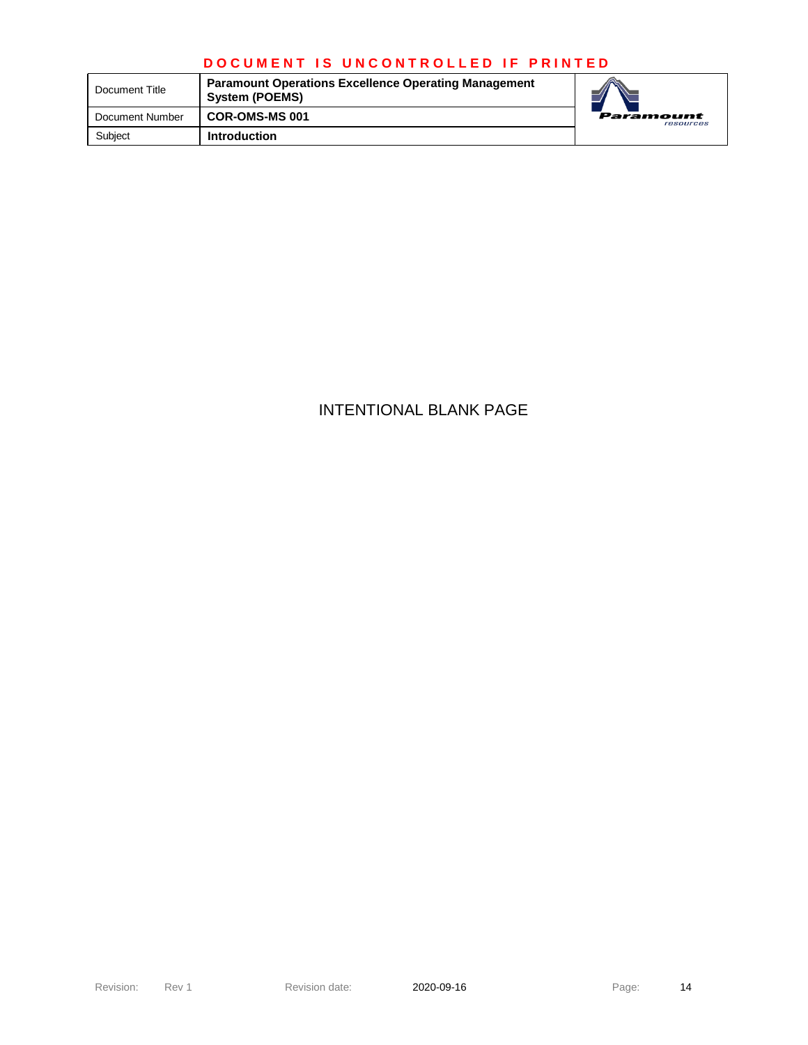| Document Title  | <b>Paramount Operations Excellence Operating Management</b><br><b>System (POEMS)</b> |                        |
|-----------------|--------------------------------------------------------------------------------------|------------------------|
| Document Number | <b>COR-OMS-MS 001</b>                                                                | Paramount<br>resources |
| Subject         | <b>Introduction</b>                                                                  |                        |

### INTENTIONAL BLANK PAGE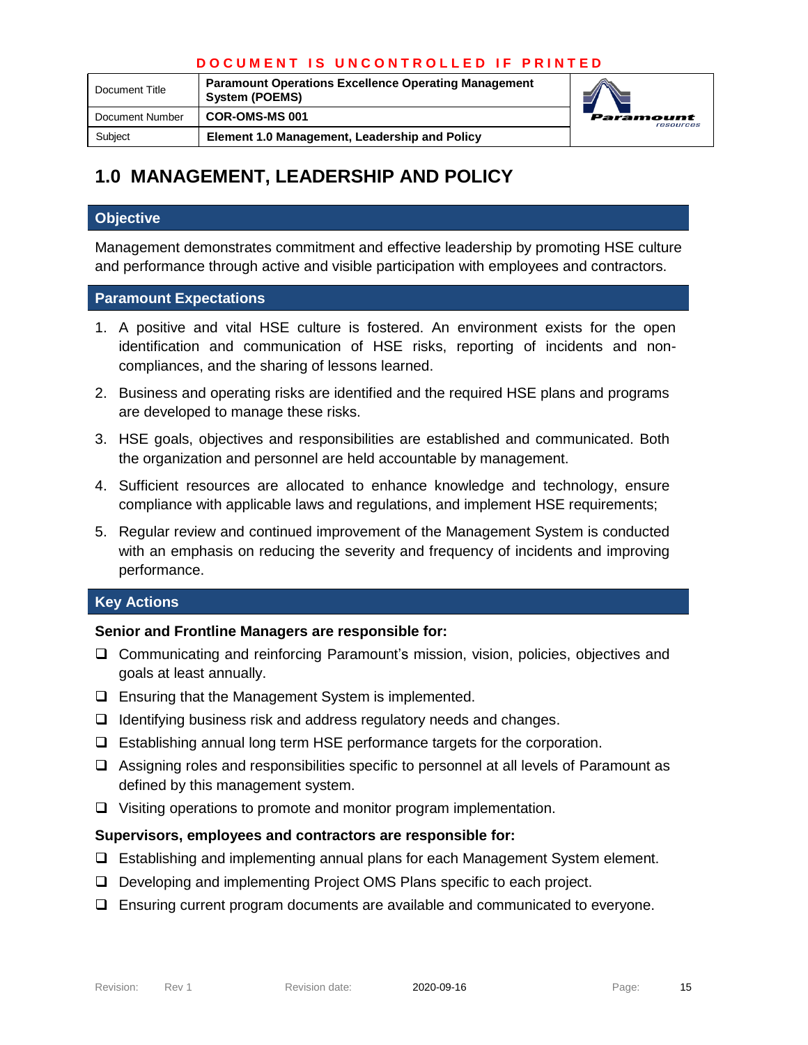| Document Title  | <b>Paramount Operations Excellence Operating Management</b><br><b>System (POEMS)</b> |                               |
|-----------------|--------------------------------------------------------------------------------------|-------------------------------|
| Document Number | <b>COR-OMS-MS 001</b>                                                                | Paramount<br><i>resource.</i> |
| Subject         | Element 1.0 Management, Leadership and Policy                                        |                               |

### <span id="page-14-0"></span>**1.0 MANAGEMENT, LEADERSHIP AND POLICY**

#### **Objective**

Management demonstrates commitment and effective leadership by promoting HSE culture and performance through active and visible participation with employees and contractors.

#### **Paramount Expectations**

- 1. A positive and vital HSE culture is fostered. An environment exists for the open identification and communication of HSE risks, reporting of incidents and noncompliances, and the sharing of lessons learned.
- 2. Business and operating risks are identified and the required HSE plans and programs are developed to manage these risks.
- 3. HSE goals, objectives and responsibilities are established and communicated. Both the organization and personnel are held accountable by management.
- 4. Sufficient resources are allocated to enhance knowledge and technology, ensure compliance with applicable laws and regulations, and implement HSE requirements;
- 5. Regular review and continued improvement of the Management System is conducted with an emphasis on reducing the severity and frequency of incidents and improving performance.

### **Key Actions**

#### **Senior and Frontline Managers are responsible for:**

- ❑ Communicating and reinforcing Paramount's mission, vision, policies, objectives and goals at least annually.
- ❑ Ensuring that the Management System is implemented.
- ❑ Identifying business risk and address regulatory needs and changes.
- ❑ Establishing annual long term HSE performance targets for the corporation.
- ❑ Assigning roles and responsibilities specific to personnel at all levels of Paramount as defined by this management system.
- ❑ Visiting operations to promote and monitor program implementation.

#### **Supervisors, employees and contractors are responsible for:**

- ❑ Establishing and implementing annual plans for each Management System element.
- ❑ Developing and implementing Project OMS Plans specific to each project.
- ❑ Ensuring current program documents are available and communicated to everyone.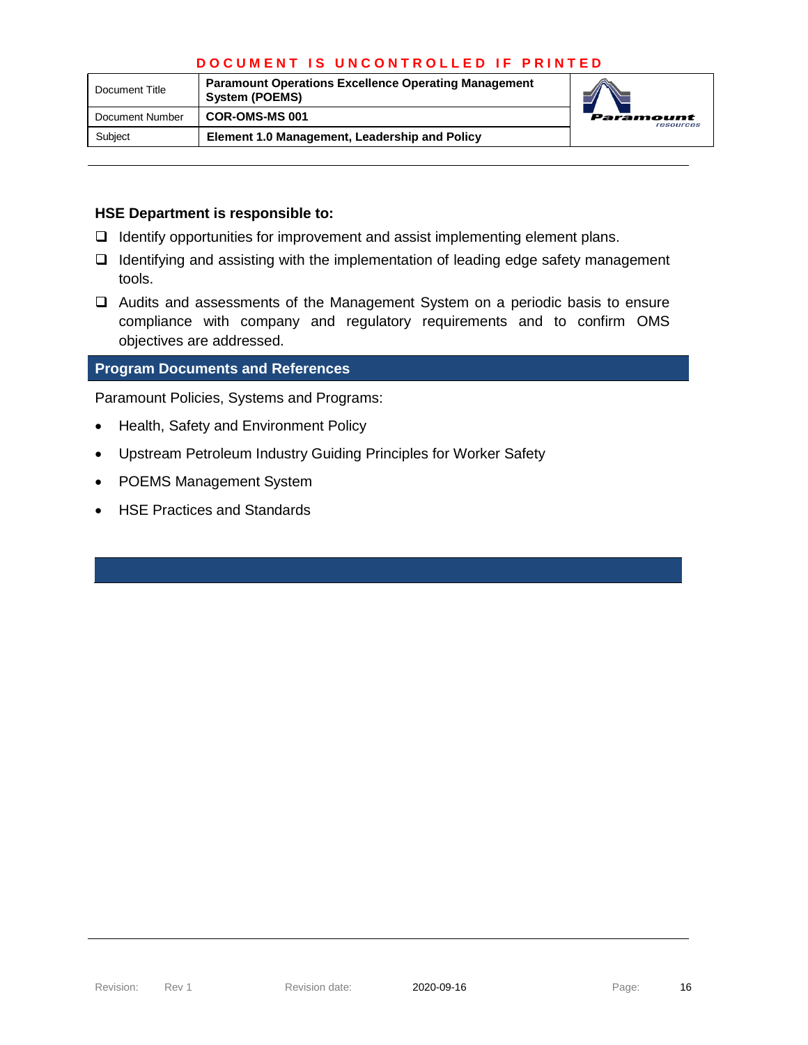| Document Title  | <b>Paramount Operations Excellence Operating Management</b><br><b>System (POEMS)</b> |                        |
|-----------------|--------------------------------------------------------------------------------------|------------------------|
| Document Number | <b>COR-OMS-MS 001</b>                                                                | Paramount<br>resources |
| Subject         | Element 1.0 Management, Leadership and Policy                                        |                        |

#### **HSE Department is responsible to:**

- ❑ Identify opportunities for improvement and assist implementing element plans.
- ❑ Identifying and assisting with the implementation of leading edge safety management tools.
- ❑ Audits and assessments of the Management System on a periodic basis to ensure compliance with company and regulatory requirements and to confirm OMS objectives are addressed.

#### **Program Documents and References**

Paramount Policies, Systems and Programs:

- Health, Safety and Environment Policy
- Upstream Petroleum Industry Guiding Principles for Worker Safety
- POEMS Management System
- HSE Practices and Standards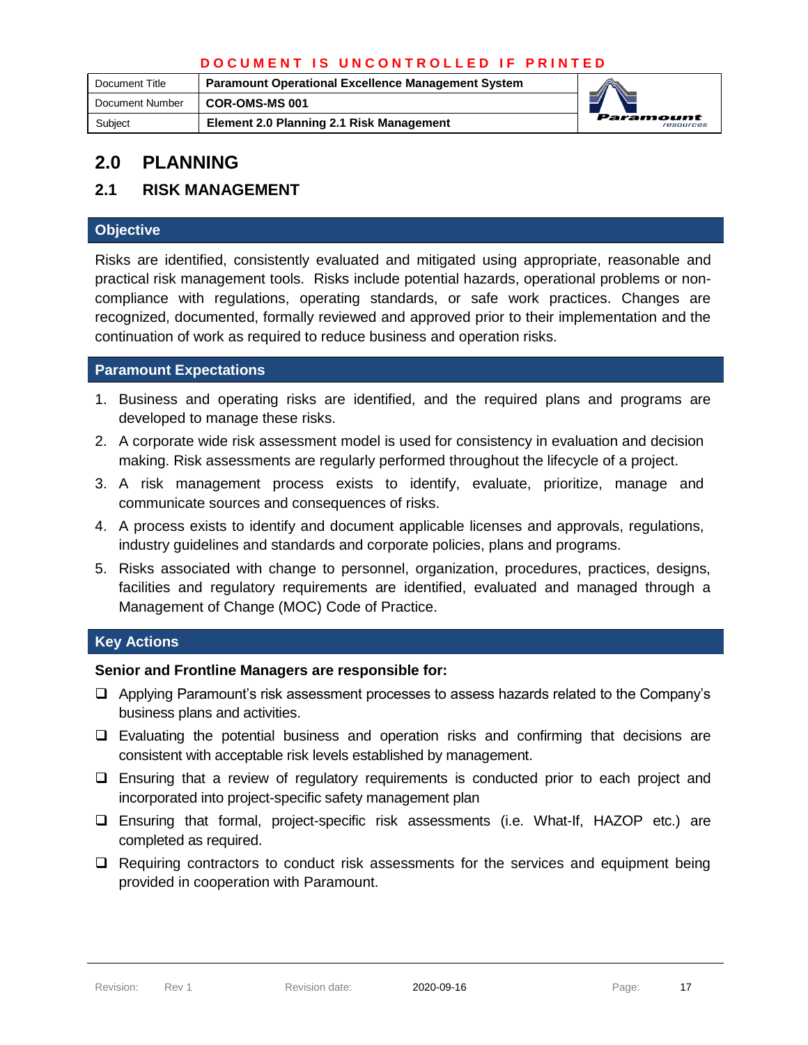| Document Title  | <b>Paramount Operational Excellence Management System</b> |                        |
|-----------------|-----------------------------------------------------------|------------------------|
| Document Number | <b>COR-OMS-MS 001</b>                                     |                        |
| Subject         | <b>Element 2.0 Planning 2.1 Risk Management</b>           | Paramount<br>resources |

### <span id="page-16-0"></span>**2.0 PLANNING**

### <span id="page-16-1"></span>**2.1 RISK MANAGEMENT**

#### **Objective**

Risks are identified, consistently evaluated and mitigated using appropriate, reasonable and practical risk management tools. Risks include potential hazards, operational problems or noncompliance with regulations, operating standards, or safe work practices. Changes are recognized, documented, formally reviewed and approved prior to their implementation and the continuation of work as required to reduce business and operation risks.

#### **Paramount Expectations**

- 1. Business and operating risks are identified, and the required plans and programs are developed to manage these risks.
- 2. A corporate wide risk assessment model is used for consistency in evaluation and decision making. Risk assessments are regularly performed throughout the lifecycle of a project.
- 3. A risk management process exists to identify, evaluate, prioritize, manage and communicate sources and consequences of risks.
- 4. A process exists to identify and document applicable licenses and approvals, regulations, industry guidelines and standards and corporate policies, plans and programs.
- 5. Risks associated with change to personnel, organization, procedures, practices, designs, facilities and regulatory requirements are identified, evaluated and managed through a Management of Change (MOC) Code of Practice.

#### **Key Actions**

#### **Senior and Frontline Managers are responsible for:**

- ❑ Applying Paramount's risk assessment processes to assess hazards related to the Company's business plans and activities.
- ❑ Evaluating the potential business and operation risks and confirming that decisions are consistent with acceptable risk levels established by management.
- ❑ Ensuring that a review of regulatory requirements is conducted prior to each project and incorporated into project-specific safety management plan
- ❑ Ensuring that formal, project-specific risk assessments (i.e. What-If, HAZOP etc.) are completed as required.
- ❑ Requiring contractors to conduct risk assessments for the services and equipment being provided in cooperation with Paramount.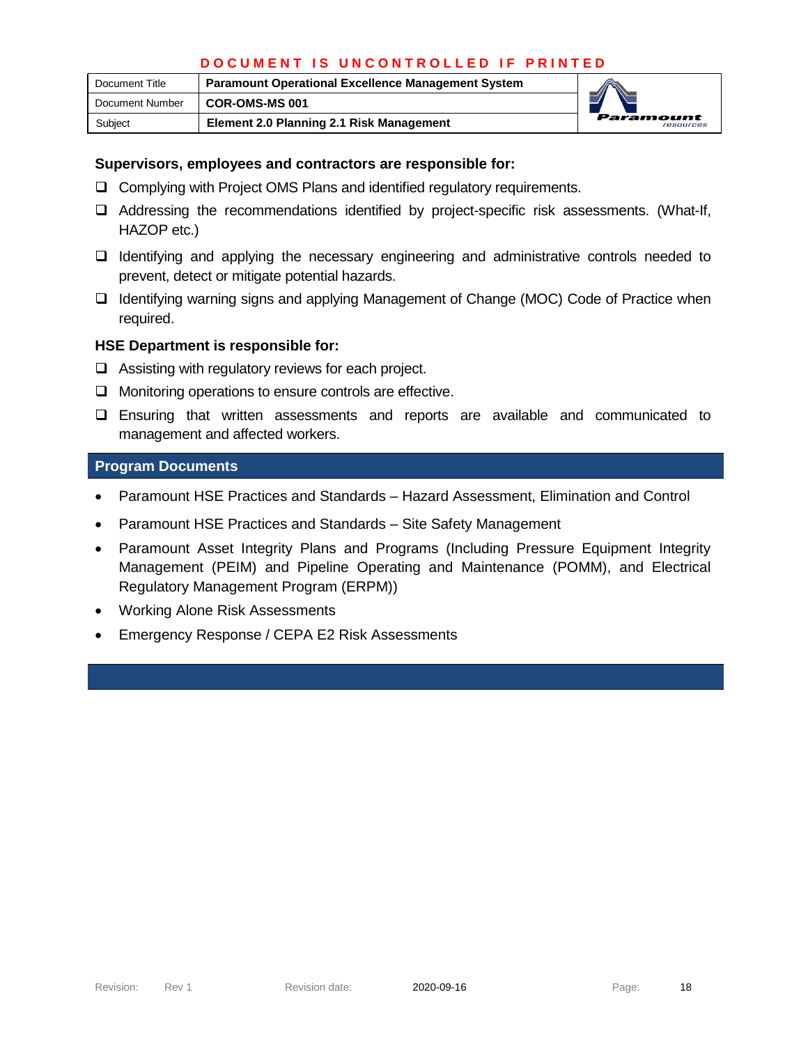| Document Title  | <b>Paramount Operational Excellence Management System</b> |                        |
|-----------------|-----------------------------------------------------------|------------------------|
| Document Number | <b>COR-OMS-MS 001</b>                                     |                        |
| Subject         | Element 2.0 Planning 2.1 Risk Management                  | Paramount<br>resources |

#### **Supervisors, employees and contractors are responsible for:**

- ❑ Complying with Project OMS Plans and identified regulatory requirements.
- ❑ Addressing the recommendations identified by project-specific risk assessments. (What-If, HAZOP etc.)
- ❑ Identifying and applying the necessary engineering and administrative controls needed to prevent, detect or mitigate potential hazards.
- ❑ Identifying warning signs and applying Management of Change (MOC) Code of Practice when required.

#### **HSE Department is responsible for:**

- ❑ Assisting with regulatory reviews for each project.
- ❑ Monitoring operations to ensure controls are effective.
- ❑ Ensuring that written assessments and reports are available and communicated to management and affected workers.

#### **Program Documents**

- Paramount HSE Practices and Standards Hazard Assessment, Elimination and Control
- Paramount HSE Practices and Standards Site Safety Management
- Paramount Asset Integrity Plans and Programs (Including Pressure Equipment Integrity Management (PEIM) and Pipeline Operating and Maintenance (POMM), and Electrical Regulatory Management Program (ERPM))
- Working Alone Risk Assessments
- Emergency Response / CEPA E2 Risk Assessments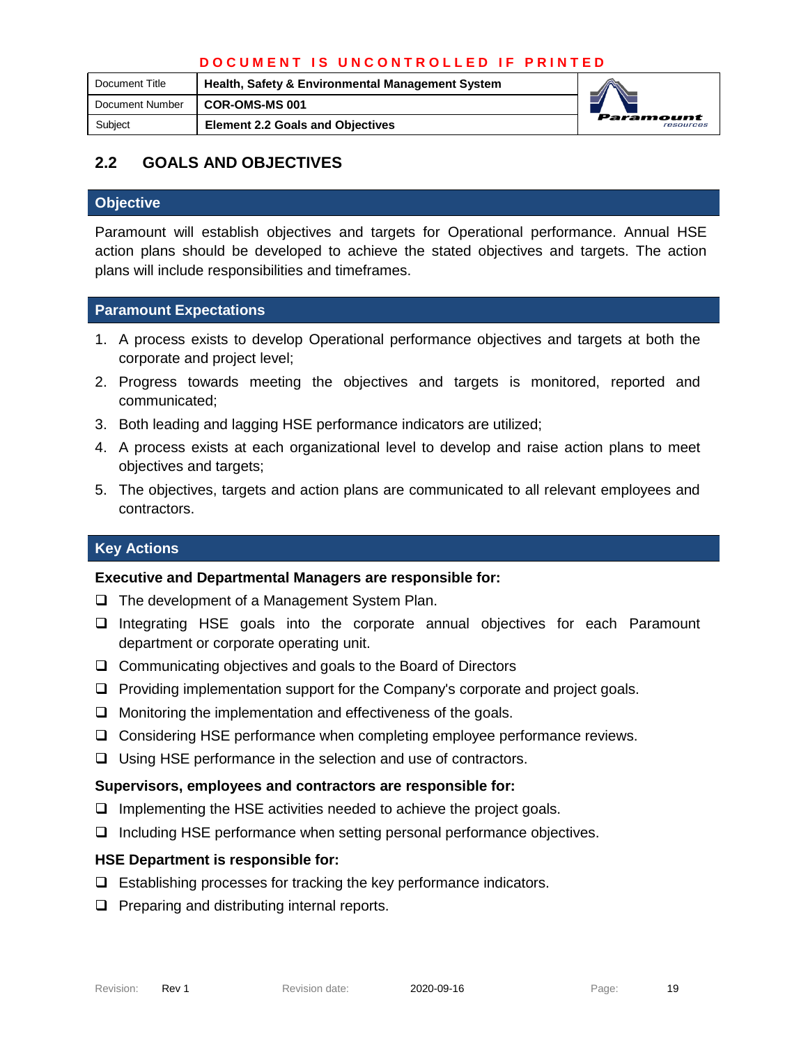| Document Title  | <b>Health, Safety &amp; Environmental Management System</b> |                        |
|-----------------|-------------------------------------------------------------|------------------------|
| Document Number | <b>COR-OMS-MS 001</b>                                       |                        |
| Subject         | <b>Element 2.2 Goals and Objectives</b>                     | Paramount<br>resources |

### <span id="page-18-0"></span>**2.2 GOALS AND OBJECTIVES**

#### **Objective**

Paramount will establish objectives and targets for Operational performance. Annual HSE action plans should be developed to achieve the stated objectives and targets. The action plans will include responsibilities and timeframes.

#### **Paramount Expectations**

- 1. A process exists to develop Operational performance objectives and targets at both the corporate and project level;
- 2. Progress towards meeting the objectives and targets is monitored, reported and communicated;
- 3. Both leading and lagging HSE performance indicators are utilized;
- 4. A process exists at each organizational level to develop and raise action plans to meet objectives and targets;
- 5. The objectives, targets and action plans are communicated to all relevant employees and contractors.

#### **Key Actions**

#### **Executive and Departmental Managers are responsible for:**

- ❑ The development of a Management System Plan.
- ❑ Integrating HSE goals into the corporate annual objectives for each Paramount department or corporate operating unit.
- ❑ Communicating objectives and goals to the Board of Directors
- ❑ Providing implementation support for the Company's corporate and project goals.
- ❑ Monitoring the implementation and effectiveness of the goals.
- ❑ Considering HSE performance when completing employee performance reviews.
- ❑ Using HSE performance in the selection and use of contractors.

#### **Supervisors, employees and contractors are responsible for:**

- ❑ Implementing the HSE activities needed to achieve the project goals.
- ❑ Including HSE performance when setting personal performance objectives.

#### **HSE Department is responsible for:**

- ❑ Establishing processes for tracking the key performance indicators.
- ❑ Preparing and distributing internal reports.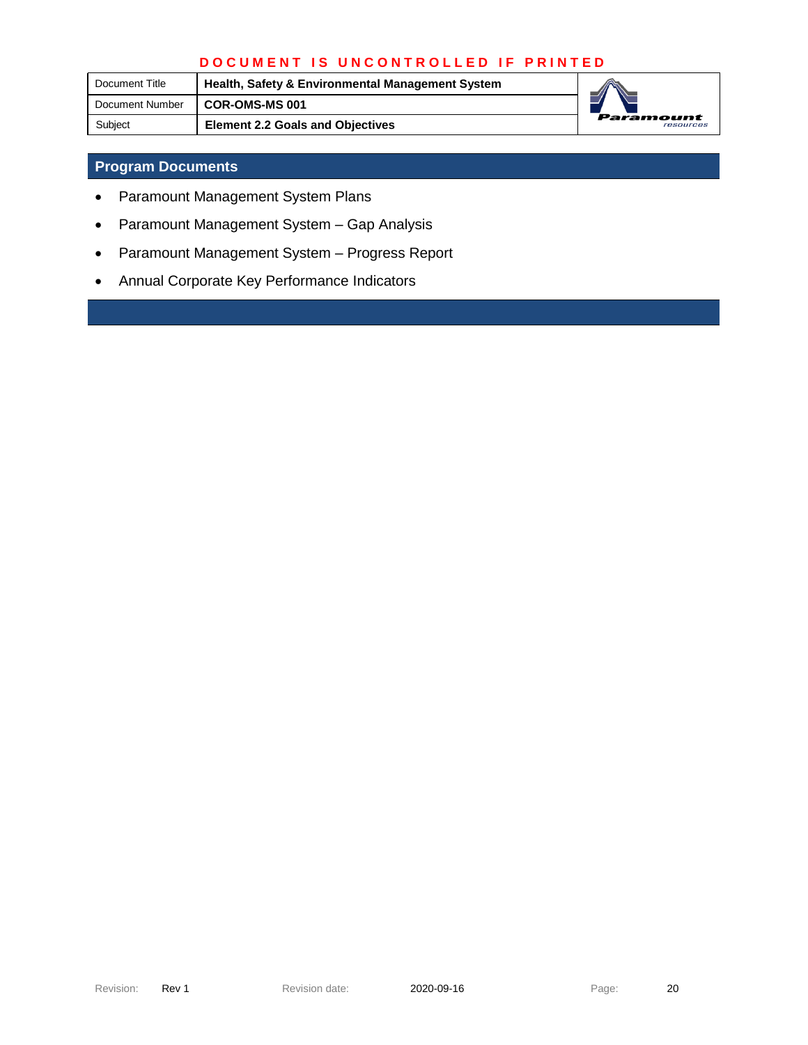| Document Title  | <b>Health, Safety &amp; Environmental Management System</b> |
|-----------------|-------------------------------------------------------------|
| Document Number | <b>COR-OMS-MS 001</b>                                       |
| Subject         | <b>Element 2.2 Goals and Objectives</b>                     |



#### **Program Documents**

- Paramount Management System Plans
- Paramount Management System Gap Analysis
- Paramount Management System Progress Report
- Annual Corporate Key Performance Indicators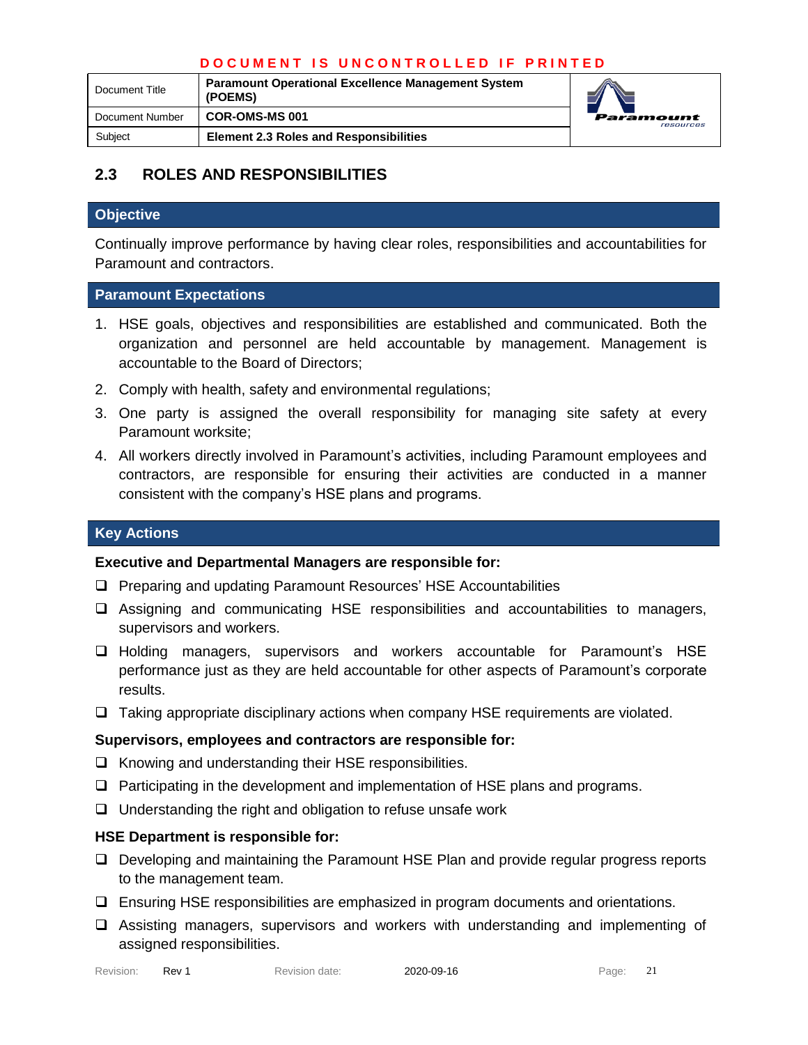| Document Title  | <b>Paramount Operational Excellence Management System</b><br>(POEMS) |                        |
|-----------------|----------------------------------------------------------------------|------------------------|
| Document Number | <b>COR-OMS-MS 001</b>                                                | Paramount<br>resources |
| Subject         | <b>Element 2.3 Roles and Responsibilities</b>                        |                        |

### <span id="page-20-0"></span>**2.3 ROLES AND RESPONSIBILITIES**

#### **Objective**

Continually improve performance by having clear roles, responsibilities and accountabilities for Paramount and contractors.

#### **Paramount Expectations**

- 1. HSE goals, objectives and responsibilities are established and communicated. Both the organization and personnel are held accountable by management. Management is accountable to the Board of Directors;
- 2. Comply with health, safety and environmental regulations;
- 3. One party is assigned the overall responsibility for managing site safety at every Paramount worksite;
- 4. All workers directly involved in Paramount's activities, including Paramount employees and contractors, are responsible for ensuring their activities are conducted in a manner consistent with the company's HSE plans and programs.

#### **Key Actions**

#### **Executive and Departmental Managers are responsible for:**

- ❑ Preparing and updating Paramount Resources' HSE Accountabilities
- ❑ Assigning and communicating HSE responsibilities and accountabilities to managers, supervisors and workers.
- ❑ Holding managers, supervisors and workers accountable for Paramount's HSE performance just as they are held accountable for other aspects of Paramount's corporate results.
- ❑ Taking appropriate disciplinary actions when company HSE requirements are violated.

#### **Supervisors, employees and contractors are responsible for:**

- ❑ Knowing and understanding their HSE responsibilities.
- ❑ Participating in the development and implementation of HSE plans and programs.
- ❑ Understanding the right and obligation to refuse unsafe work

#### **HSE Department is responsible for:**

- ❑ Developing and maintaining the Paramount HSE Plan and provide regular progress reports to the management team.
- ❑ Ensuring HSE responsibilities are emphasized in program documents and orientations.
- ❑ Assisting managers, supervisors and workers with understanding and implementing of assigned responsibilities.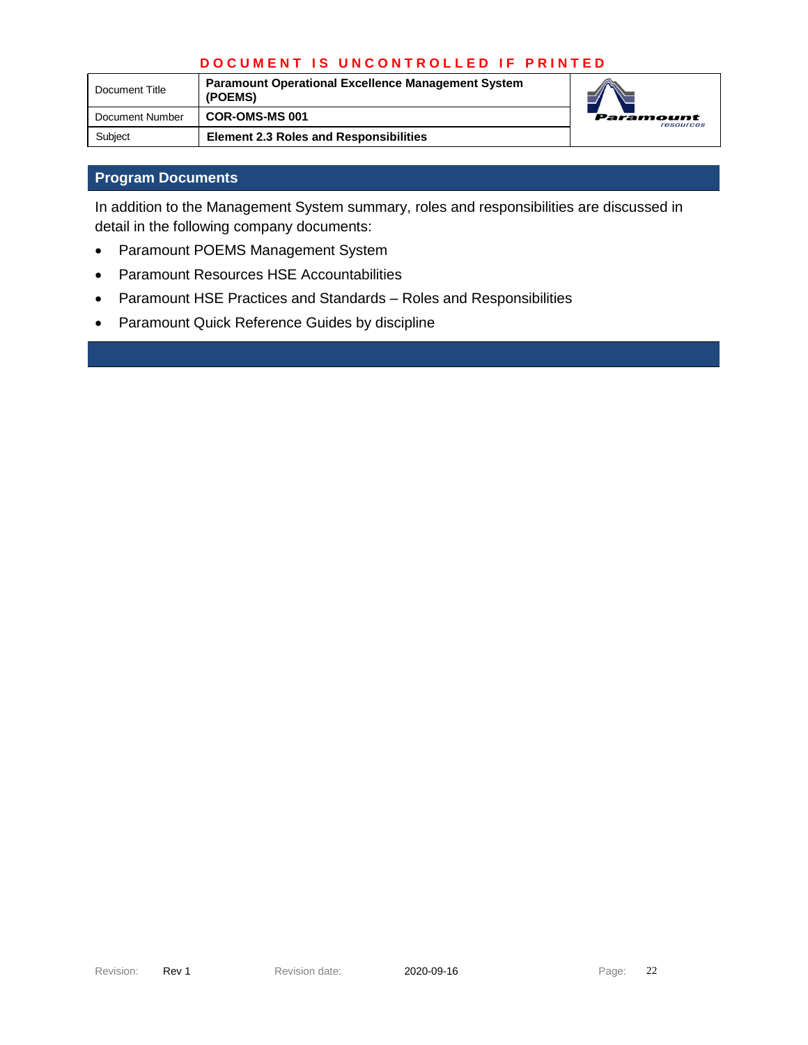| Document Title  | <b>Paramount Operational Excellence Management System</b><br>(POEMS) | Paramount<br>resources |
|-----------------|----------------------------------------------------------------------|------------------------|
| Document Number | <b>COR-OMS-MS 001</b>                                                |                        |
| Subject         | <b>Element 2.3 Roles and Responsibilities</b>                        |                        |

### **Program Documents**

In addition to the Management System summary, roles and responsibilities are discussed in detail in the following company documents:

- Paramount POEMS Management System
- Paramount Resources HSE Accountabilities
- Paramount HSE Practices and Standards Roles and Responsibilities
- Paramount Quick Reference Guides by discipline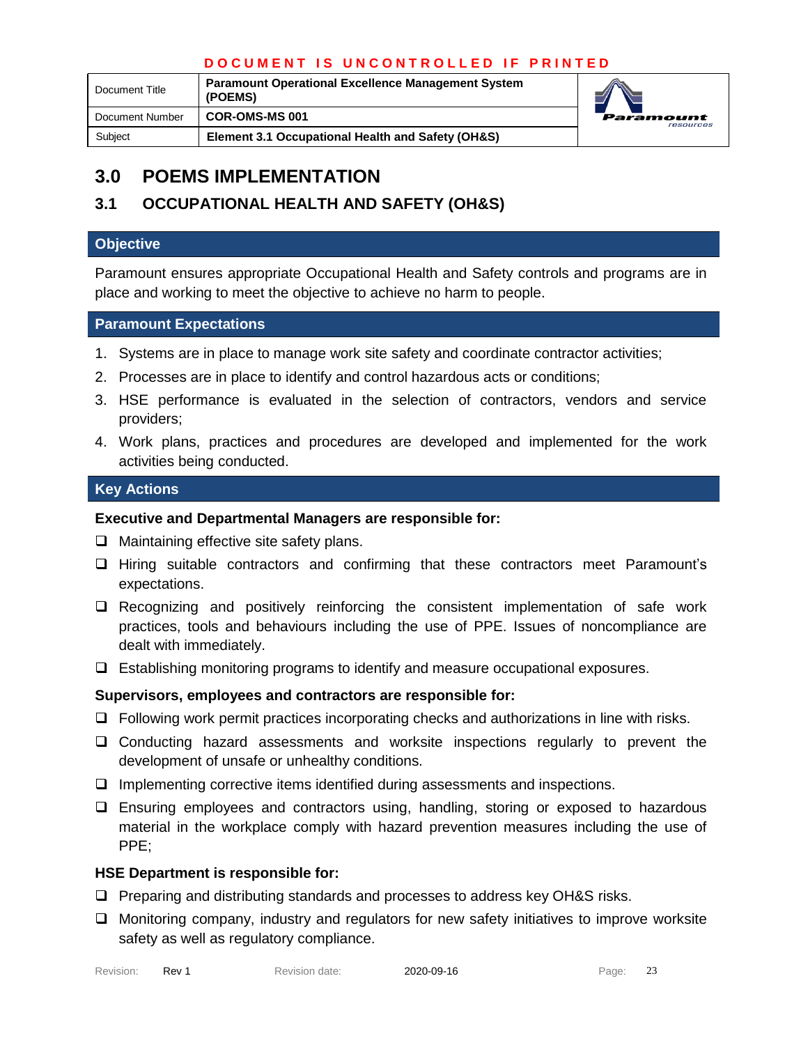| Document Title  | <b>Paramount Operational Excellence Management System</b><br>(POEMS) |                        |
|-----------------|----------------------------------------------------------------------|------------------------|
| Document Number | <b>COR-OMS-MS 001</b>                                                | Paramount<br>resources |
| Subject         | <b>Element 3.1 Occupational Health and Safety (OH&amp;S)</b>         |                        |

### <span id="page-22-0"></span>**3.0 POEMS IMPLEMENTATION**

### <span id="page-22-1"></span>**3.1 OCCUPATIONAL HEALTH AND SAFETY (OH&S)**

#### **Objective**

Paramount ensures appropriate Occupational Health and Safety controls and programs are in place and working to meet the objective to achieve no harm to people.

#### **Paramount Expectations**

- 1. Systems are in place to manage work site safety and coordinate contractor activities;
- 2. Processes are in place to identify and control hazardous acts or conditions;
- 3. HSE performance is evaluated in the selection of contractors, vendors and service providers;
- 4. Work plans, practices and procedures are developed and implemented for the work activities being conducted.

#### **Key Actions**

#### **Executive and Departmental Managers are responsible for:**

- ❑ Maintaining effective site safety plans.
- ❑ Hiring suitable contractors and confirming that these contractors meet Paramount's expectations.
- ❑ Recognizing and positively reinforcing the consistent implementation of safe work practices, tools and behaviours including the use of PPE. Issues of noncompliance are dealt with immediately.
- ❑ Establishing monitoring programs to identify and measure occupational exposures.

#### **Supervisors, employees and contractors are responsible for:**

- ❑ Following work permit practices incorporating checks and authorizations in line with risks.
- ❑ Conducting hazard assessments and worksite inspections regularly to prevent the development of unsafe or unhealthy conditions.
- ❑ Implementing corrective items identified during assessments and inspections.
- ❑ Ensuring employees and contractors using, handling, storing or exposed to hazardous material in the workplace comply with hazard prevention measures including the use of PPE;

#### **HSE Department is responsible for:**

- ❑ Preparing and distributing standards and processes to address key OH&S risks.
- ❑ Monitoring company, industry and regulators for new safety initiatives to improve worksite safety as well as regulatory compliance.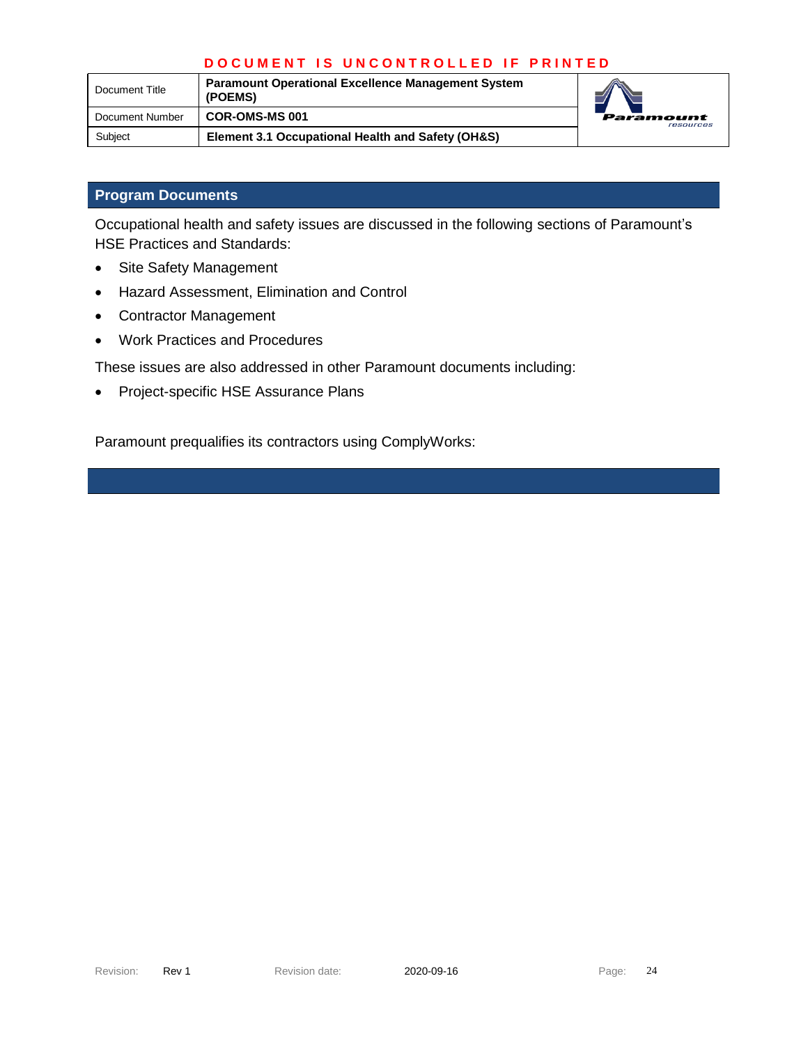| Document Title  | <b>Paramount Operational Excellence Management System</b><br>(POEMS) |                        |
|-----------------|----------------------------------------------------------------------|------------------------|
| Document Number | <b>COR-OMS-MS 001</b>                                                | Paramount<br>resources |
| Subject         | <b>Element 3.1 Occupational Health and Safety (OH&amp;S)</b>         |                        |

#### **Program Documents**

Occupational health and safety issues are discussed in the following sections of Paramount's HSE Practices and Standards:

- Site Safety Management
- Hazard Assessment, Elimination and Control
- Contractor Management
- Work Practices and Procedures

These issues are also addressed in other Paramount documents including:

• Project-specific HSE Assurance Plans

Paramount prequalifies its contractors using ComplyWorks: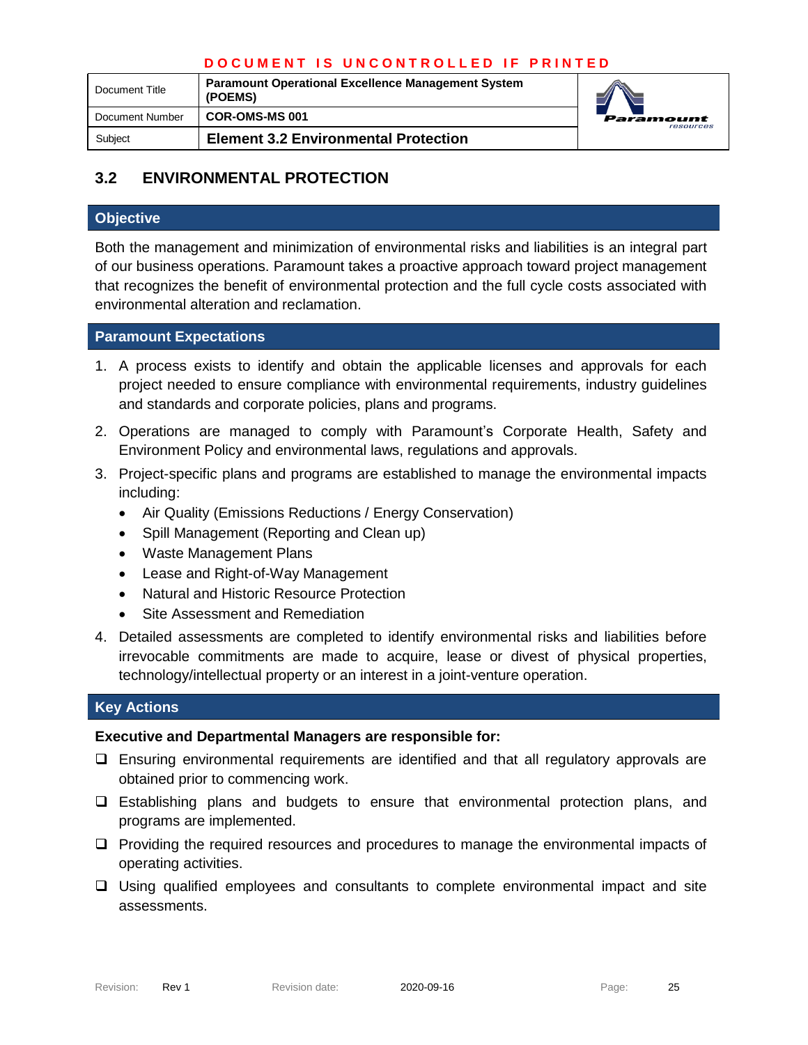| Document Title  | <b>Paramount Operational Excellence Management System</b><br>(POEMS) | Paramount<br>resources |
|-----------------|----------------------------------------------------------------------|------------------------|
| Document Number | <b>COR-OMS-MS 001</b>                                                |                        |
| Subject         | <b>Element 3.2 Environmental Protection</b>                          |                        |

### <span id="page-24-0"></span>**3.2 ENVIRONMENTAL PROTECTION**

#### **Objective**

Both the management and minimization of environmental risks and liabilities is an integral part of our business operations. Paramount takes a proactive approach toward project management that recognizes the benefit of environmental protection and the full cycle costs associated with environmental alteration and reclamation.

#### **Paramount Expectations**

- 1. A process exists to identify and obtain the applicable licenses and approvals for each project needed to ensure compliance with environmental requirements, industry guidelines and standards and corporate policies, plans and programs.
- 2. Operations are managed to comply with Paramount's Corporate Health, Safety and Environment Policy and environmental laws, regulations and approvals.
- 3. Project-specific plans and programs are established to manage the environmental impacts including:
	- Air Quality (Emissions Reductions / Energy Conservation)
	- Spill Management (Reporting and Clean up)
	- Waste Management Plans
	- Lease and Right-of-Way Management
	- Natural and Historic Resource Protection
	- Site Assessment and Remediation
- 4. Detailed assessments are completed to identify environmental risks and liabilities before irrevocable commitments are made to acquire, lease or divest of physical properties, technology/intellectual property or an interest in a joint-venture operation.

#### **Key Actions**

#### **Executive and Departmental Managers are responsible for:**

- ❑ Ensuring environmental requirements are identified and that all regulatory approvals are obtained prior to commencing work.
- ❑ Establishing plans and budgets to ensure that environmental protection plans, and programs are implemented.
- ❑ Providing the required resources and procedures to manage the environmental impacts of operating activities.
- ❑ Using qualified employees and consultants to complete environmental impact and site assessments.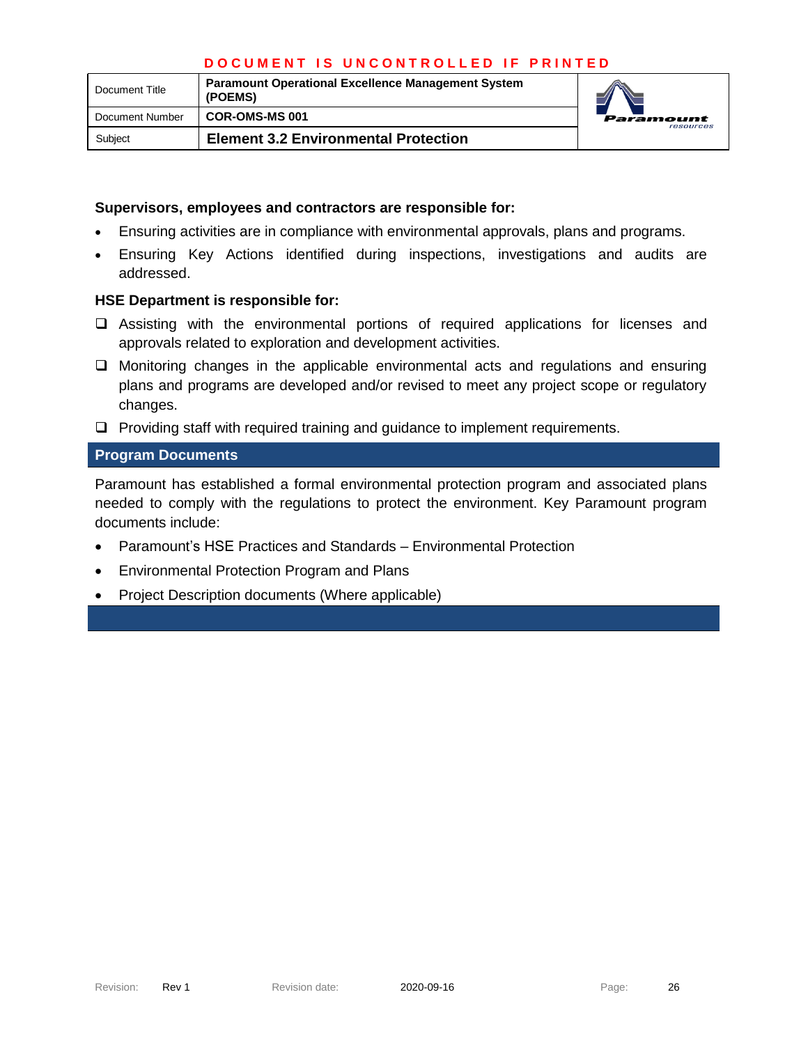| Document Title  | <b>Paramount Operational Excellence Management System</b><br>(POEMS) |                        |
|-----------------|----------------------------------------------------------------------|------------------------|
| Document Number | <b>COR-OMS-MS 001</b>                                                | Paramount<br>resources |
| Subject         | <b>Element 3.2 Environmental Protection</b>                          |                        |

#### **Supervisors, employees and contractors are responsible for:**

- Ensuring activities are in compliance with environmental approvals, plans and programs.
- Ensuring Key Actions identified during inspections, investigations and audits are addressed.

#### **HSE Department is responsible for:**

- ❑ Assisting with the environmental portions of required applications for licenses and approvals related to exploration and development activities.
- ❑ Monitoring changes in the applicable environmental acts and regulations and ensuring plans and programs are developed and/or revised to meet any project scope or regulatory changes.
- ❑ Providing staff with required training and guidance to implement requirements.

#### **Program Documents**

Paramount has established a formal environmental protection program and associated plans needed to comply with the regulations to protect the environment. Key Paramount program documents include:

- Paramount's HSE Practices and Standards Environmental Protection
- Environmental Protection Program and Plans
- Project Description documents (Where applicable)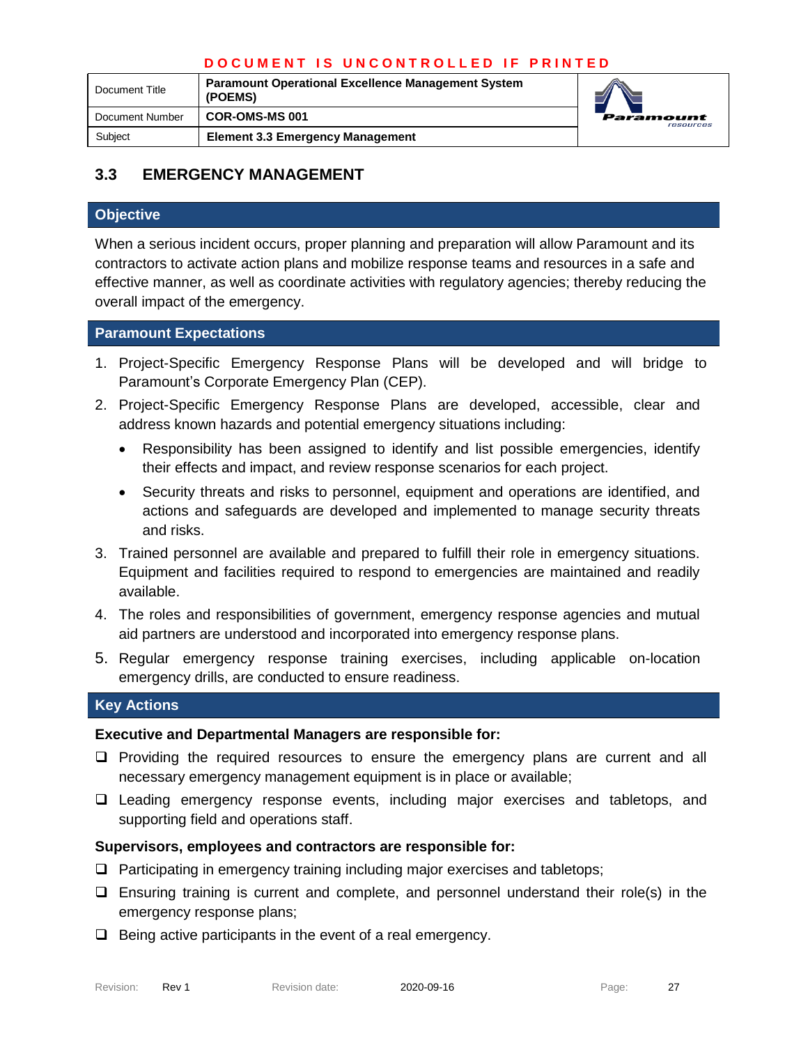| Document Title  | <b>Paramount Operational Excellence Management System</b><br>(POEMS) |                   |
|-----------------|----------------------------------------------------------------------|-------------------|
| Document Number | <b>COR-OMS-MS 001</b>                                                | Paramoul<br>resol |
| Subject         | <b>Element 3.3 Emergency Management</b>                              |                   |

### <span id="page-26-0"></span>**3.3 EMERGENCY MANAGEMENT**

#### **Objective**

When a serious incident occurs, proper planning and preparation will allow Paramount and its contractors to activate action plans and mobilize response teams and resources in a safe and effective manner, as well as coordinate activities with regulatory agencies; thereby reducing the overall impact of the emergency.

#### **Paramount Expectations**

- 1. Project-Specific Emergency Response Plans will be developed and will bridge to Paramount's Corporate Emergency Plan (CEP).
- 2. Project-Specific Emergency Response Plans are developed, accessible, clear and address known hazards and potential emergency situations including:
	- Responsibility has been assigned to identify and list possible emergencies, identify their effects and impact, and review response scenarios for each project.
	- Security threats and risks to personnel, equipment and operations are identified, and actions and safeguards are developed and implemented to manage security threats and risks.
- 3. Trained personnel are available and prepared to fulfill their role in emergency situations. Equipment and facilities required to respond to emergencies are maintained and readily available.
- 4. The roles and responsibilities of government, emergency response agencies and mutual aid partners are understood and incorporated into emergency response plans.
- 5. Regular emergency response training exercises, including applicable on-location emergency drills, are conducted to ensure readiness.

#### **Key Actions**

#### **Executive and Departmental Managers are responsible for:**

- ❑ Providing the required resources to ensure the emergency plans are current and all necessary emergency management equipment is in place or available;
- ❑ Leading emergency response events, including major exercises and tabletops, and supporting field and operations staff.

#### **Supervisors, employees and contractors are responsible for:**

- ❑ Participating in emergency training including major exercises and tabletops;
- ❑ Ensuring training is current and complete, and personnel understand their role(s) in the emergency response plans;
- ❑ Being active participants in the event of a real emergency.

nt<br>rces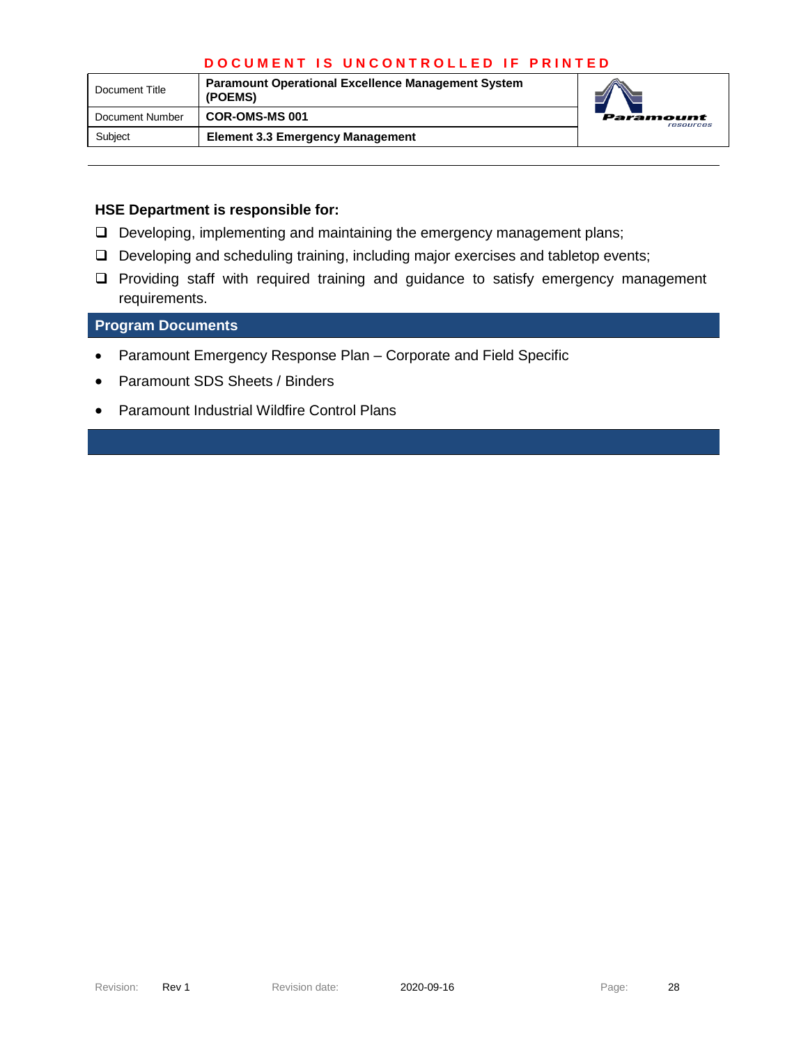| Document Title  | <b>Paramount Operational Excellence Management System</b><br>(POEMS) | Paramount<br>resources |
|-----------------|----------------------------------------------------------------------|------------------------|
| Document Number | <b>COR-OMS-MS 001</b>                                                |                        |
| Subject         | <b>Element 3.3 Emergency Management</b>                              |                        |

#### **HSE Department is responsible for:**

- ❑ Developing, implementing and maintaining the emergency management plans;
- ❑ Developing and scheduling training, including major exercises and tabletop events;
- ❑ Providing staff with required training and guidance to satisfy emergency management requirements.

#### **Program Documents**

- Paramount Emergency Response Plan Corporate and Field Specific
- Paramount SDS Sheets / Binders
- Paramount Industrial Wildfire Control Plans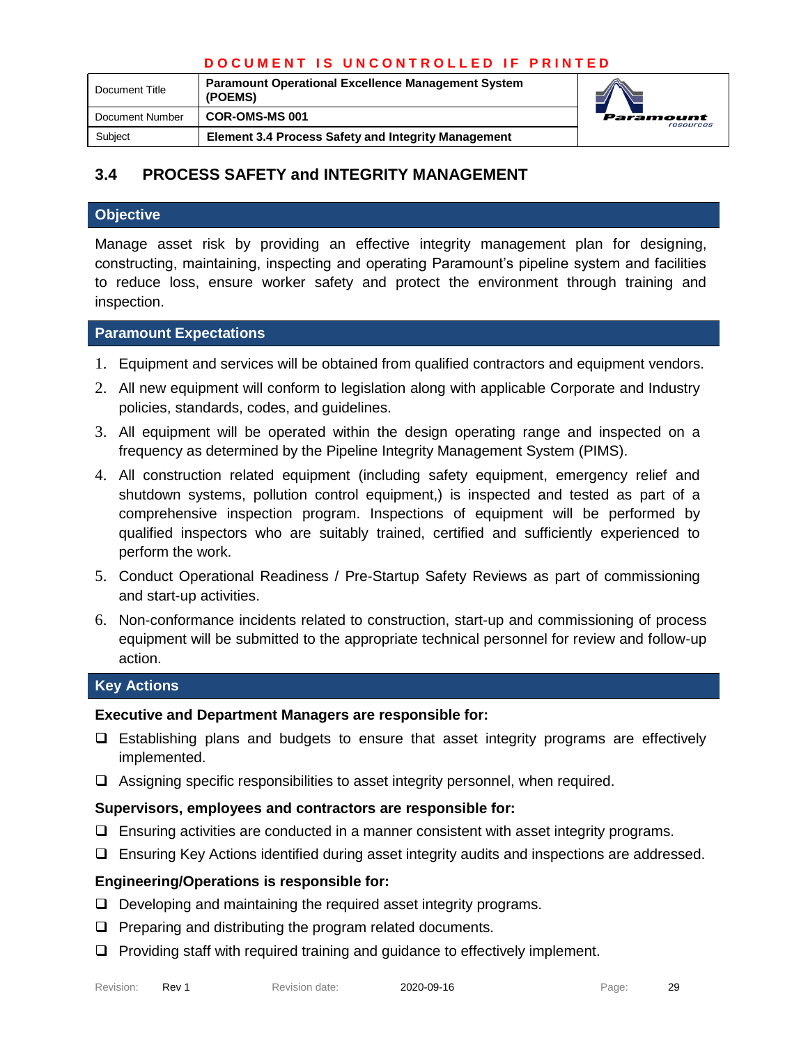| Document Title  | <b>Paramount Operational Excellence Management System</b><br>(POEMS) |                        |
|-----------------|----------------------------------------------------------------------|------------------------|
| Document Number | <b>COR-OMS-MS 001</b>                                                | Paramount<br>resources |
| Subject         | <b>Element 3.4 Process Safety and Integrity Management</b>           |                        |

### <span id="page-28-0"></span>**3.4 PROCESS SAFETY and INTEGRITY MANAGEMENT**

#### **Objective**

Manage asset risk by providing an effective integrity management plan for designing, constructing, maintaining, inspecting and operating Paramount's pipeline system and facilities to reduce loss, ensure worker safety and protect the environment through training and inspection.

#### **Paramount Expectations**

- 1. Equipment and services will be obtained from qualified contractors and equipment vendors.
- 2. All new equipment will conform to legislation along with applicable Corporate and Industry policies, standards, codes, and guidelines.
- 3. All equipment will be operated within the design operating range and inspected on a frequency as determined by the Pipeline Integrity Management System (PIMS).
- 4. All construction related equipment (including safety equipment, emergency relief and shutdown systems, pollution control equipment,) is inspected and tested as part of a comprehensive inspection program. Inspections of equipment will be performed by qualified inspectors who are suitably trained, certified and sufficiently experienced to perform the work.
- 5. Conduct Operational Readiness / Pre-Startup Safety Reviews as part of commissioning and start-up activities.
- 6. Non-conformance incidents related to construction, start-up and commissioning of process equipment will be submitted to the appropriate technical personnel for review and follow-up action.

#### **Key Actions**

#### **Executive and Department Managers are responsible for:**

- ❑ Establishing plans and budgets to ensure that asset integrity programs are effectively implemented.
- ❑ Assigning specific responsibilities to asset integrity personnel, when required.

#### **Supervisors, employees and contractors are responsible for:**

- ❑ Ensuring activities are conducted in a manner consistent with asset integrity programs.
- ❑ Ensuring Key Actions identified during asset integrity audits and inspections are addressed.

#### **Engineering/Operations is responsible for:**

- ❑ Developing and maintaining the required asset integrity programs.
- ❑ Preparing and distributing the program related documents.
- ❑ Providing staff with required training and guidance to effectively implement.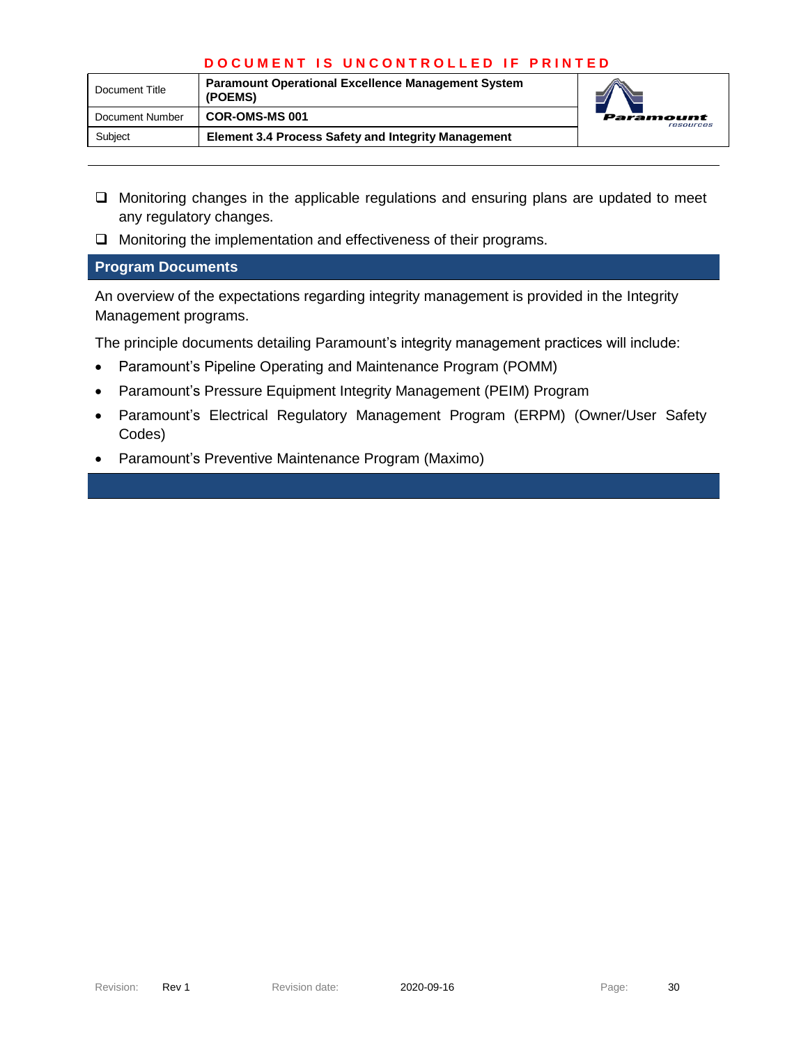| Document Title  | <b>Paramount Operational Excellence Management System</b><br>(POEMS) |                        |
|-----------------|----------------------------------------------------------------------|------------------------|
| Document Number | <b>COR-OMS-MS 001</b>                                                | Paramount<br>resources |
| Subject         | <b>Element 3.4 Process Safety and Integrity Management</b>           |                        |

- ❑ Monitoring changes in the applicable regulations and ensuring plans are updated to meet any regulatory changes.
- ❑ Monitoring the implementation and effectiveness of their programs.

#### **Program Documents**

An overview of the expectations regarding integrity management is provided in the Integrity Management programs.

The principle documents detailing Paramount's integrity management practices will include:

- Paramount's Pipeline Operating and Maintenance Program (POMM)
- Paramount's Pressure Equipment Integrity Management (PEIM) Program
- Paramount's Electrical Regulatory Management Program (ERPM) (Owner/User Safety Codes)
- Paramount's Preventive Maintenance Program (Maximo)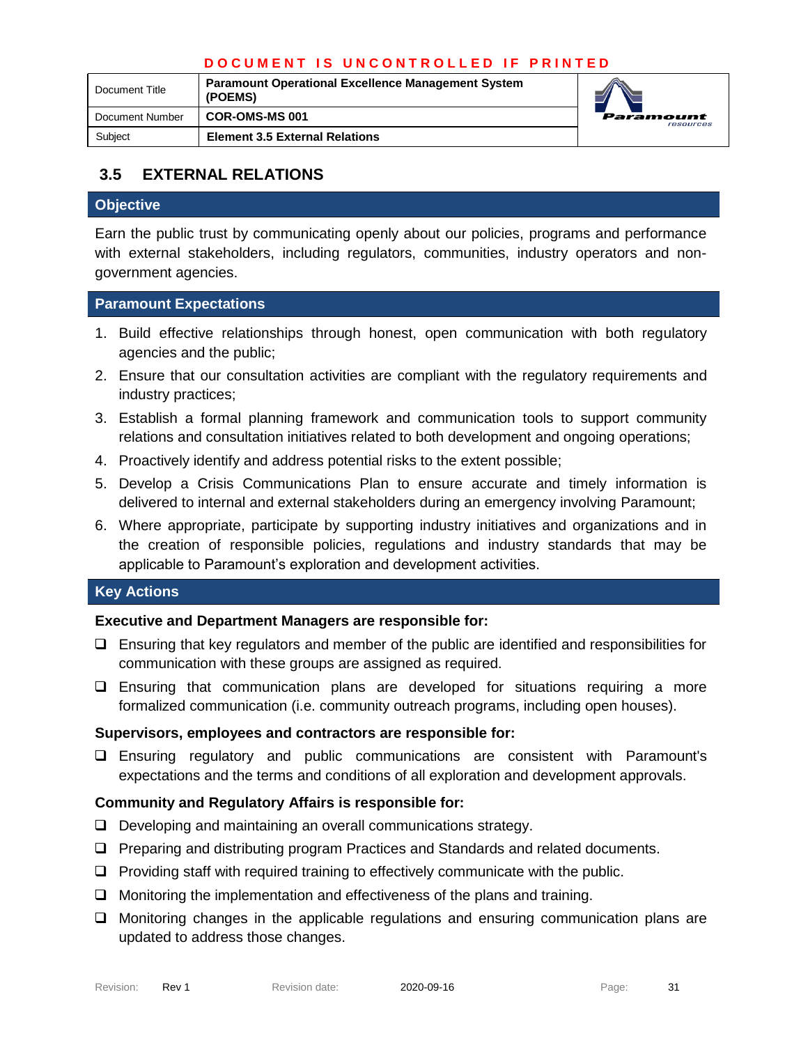| Document Title  | <b>Paramount Operational Excellence Management System</b><br>(POEMS) |                        |
|-----------------|----------------------------------------------------------------------|------------------------|
| Document Number | <b>COR-OMS-MS 001</b>                                                | Paramount<br>resources |
| Subject         | <b>Element 3.5 External Relations</b>                                |                        |

### <span id="page-30-0"></span>**3.5 EXTERNAL RELATIONS**

#### **Objective**

Earn the public trust by communicating openly about our policies, programs and performance with external stakeholders, including regulators, communities, industry operators and nongovernment agencies.

#### **Paramount Expectations**

- 1. Build effective relationships through honest, open communication with both regulatory agencies and the public;
- 2. Ensure that our consultation activities are compliant with the regulatory requirements and industry practices;
- 3. Establish a formal planning framework and communication tools to support community relations and consultation initiatives related to both development and ongoing operations;
- 4. Proactively identify and address potential risks to the extent possible;
- 5. Develop a Crisis Communications Plan to ensure accurate and timely information is delivered to internal and external stakeholders during an emergency involving Paramount;
- 6. Where appropriate, participate by supporting industry initiatives and organizations and in the creation of responsible policies, regulations and industry standards that may be applicable to Paramount's exploration and development activities.

#### **Key Actions**

#### **Executive and Department Managers are responsible for:**

- ❑ Ensuring that key regulators and member of the public are identified and responsibilities for communication with these groups are assigned as required.
- ❑ Ensuring that communication plans are developed for situations requiring a more formalized communication (i.e. community outreach programs, including open houses).

#### **Supervisors, employees and contractors are responsible for:**

❑ Ensuring regulatory and public communications are consistent with Paramount's expectations and the terms and conditions of all exploration and development approvals.

#### **Community and Regulatory Affairs is responsible for:**

- ❑ Developing and maintaining an overall communications strategy.
- ❑ Preparing and distributing program Practices and Standards and related documents.
- ❑ Providing staff with required training to effectively communicate with the public.
- ❑ Monitoring the implementation and effectiveness of the plans and training.
- ❑ Monitoring changes in the applicable regulations and ensuring communication plans are updated to address those changes.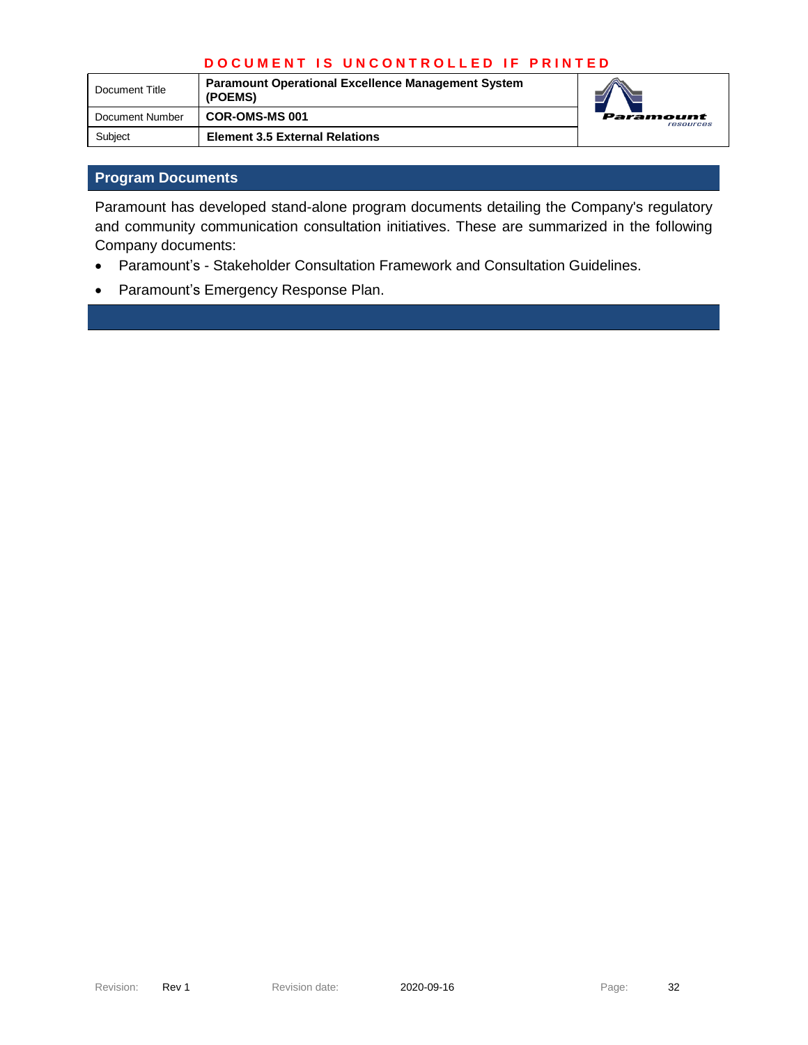| Document Title  | <b>Paramount Operational Excellence Management System</b><br>(POEMS) |   |
|-----------------|----------------------------------------------------------------------|---|
| Document Number | <b>COR-OMS-MS 001</b>                                                | P |
| Subject         | <b>Element 3.5 External Relations</b>                                |   |



### **Program Documents**

Paramount has developed stand-alone program documents detailing the Company's regulatory and community communication consultation initiatives. These are summarized in the following Company documents:

- Paramount's Stakeholder Consultation Framework and Consultation Guidelines.
- Paramount's Emergency Response Plan.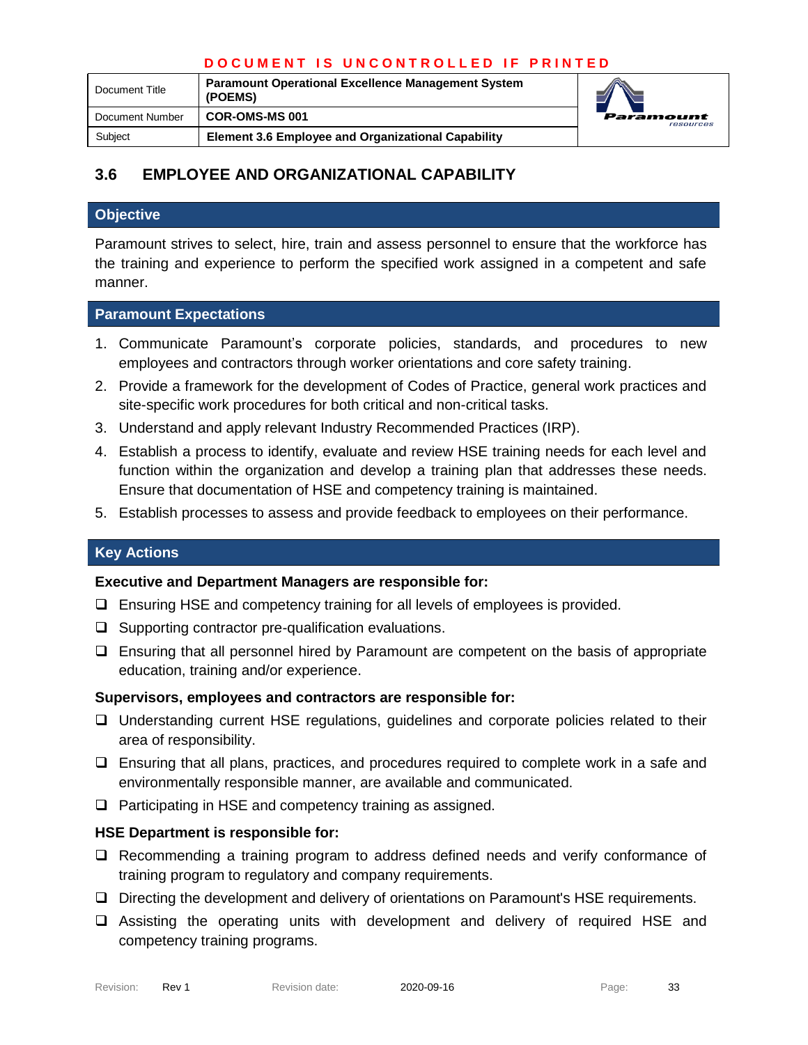| Document Title  | <b>Paramount Operational Excellence Management System</b><br>(POEMS) |                        |
|-----------------|----------------------------------------------------------------------|------------------------|
| Document Number | <b>COR-OMS-MS 001</b>                                                | Paramount<br>resources |
| Subject         | <b>Element 3.6 Employee and Organizational Capability</b>            |                        |

### <span id="page-32-0"></span>**3.6 EMPLOYEE AND ORGANIZATIONAL CAPABILITY**

#### **Objective**

Paramount strives to select, hire, train and assess personnel to ensure that the workforce has the training and experience to perform the specified work assigned in a competent and safe manner.

#### **Paramount Expectations**

- 1. Communicate Paramount's corporate policies, standards, and procedures to new employees and contractors through worker orientations and core safety training.
- 2. Provide a framework for the development of Codes of Practice, general work practices and site-specific work procedures for both critical and non-critical tasks.
- 3. Understand and apply relevant Industry Recommended Practices (IRP).
- 4. Establish a process to identify, evaluate and review HSE training needs for each level and function within the organization and develop a training plan that addresses these needs. Ensure that documentation of HSE and competency training is maintained.
- 5. Establish processes to assess and provide feedback to employees on their performance.

#### **Key Actions**

#### **Executive and Department Managers are responsible for:**

- ❑ Ensuring HSE and competency training for all levels of employees is provided.
- ❑ Supporting contractor pre-qualification evaluations.
- ❑ Ensuring that all personnel hired by Paramount are competent on the basis of appropriate education, training and/or experience.

#### **Supervisors, employees and contractors are responsible for:**

- ❑ Understanding current HSE regulations, guidelines and corporate policies related to their area of responsibility.
- ❑ Ensuring that all plans, practices, and procedures required to complete work in a safe and environmentally responsible manner, are available and communicated.
- ❑ Participating in HSE and competency training as assigned.

#### **HSE Department is responsible for:**

- ❑ Recommending a training program to address defined needs and verify conformance of training program to regulatory and company requirements.
- ❑ Directing the development and delivery of orientations on Paramount's HSE requirements.
- ❑ Assisting the operating units with development and delivery of required HSE and competency training programs.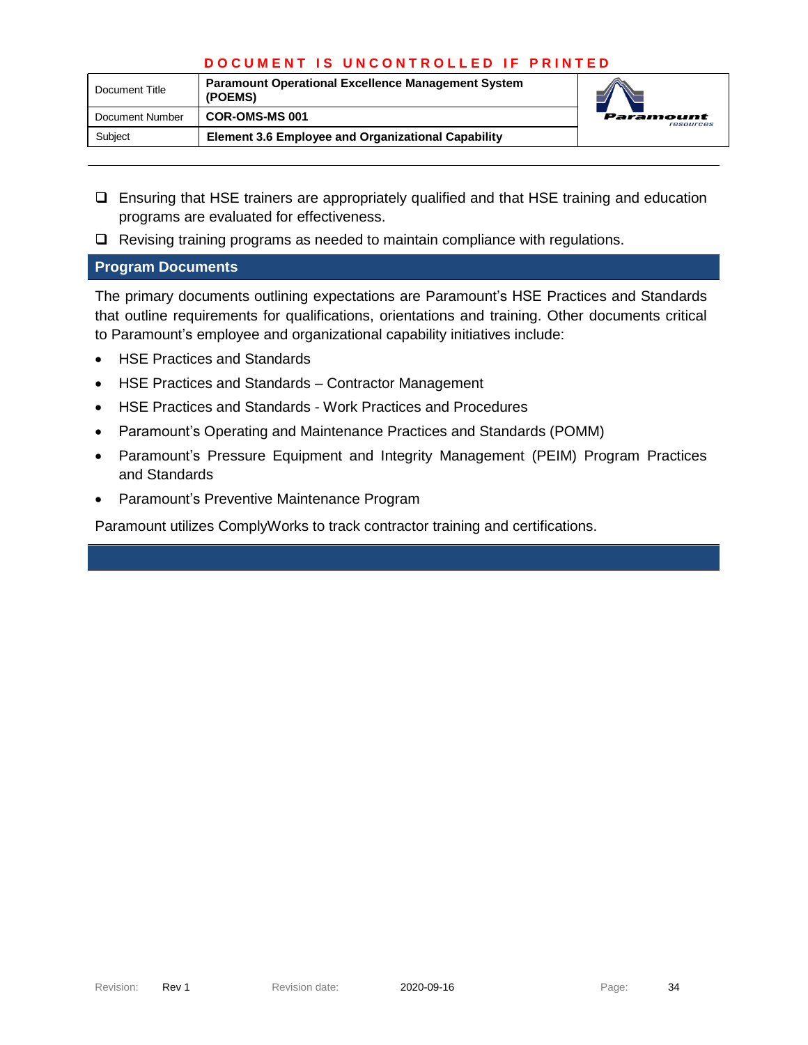| Document Title  | <b>Paramount Operational Excellence Management System</b><br>(POEMS) |                        |
|-----------------|----------------------------------------------------------------------|------------------------|
| Document Number | <b>COR-OMS-MS 001</b>                                                | Paramount<br>resources |
| Subject         | Element 3.6 Employee and Organizational Capability                   |                        |

- ❑ Ensuring that HSE trainers are appropriately qualified and that HSE training and education programs are evaluated for effectiveness.
- ❑ Revising training programs as needed to maintain compliance with regulations.

#### **Program Documents**

The primary documents outlining expectations are Paramount's HSE Practices and Standards that outline requirements for qualifications, orientations and training. Other documents critical to Paramount's employee and organizational capability initiatives include:

- HSE Practices and Standards
- HSE Practices and Standards Contractor Management
- HSE Practices and Standards Work Practices and Procedures
- Paramount's Operating and Maintenance Practices and Standards (POMM)
- Paramount's Pressure Equipment and Integrity Management (PEIM) Program Practices and Standards
- Paramount's Preventive Maintenance Program

Paramount utilizes ComplyWorks to track contractor training and certifications.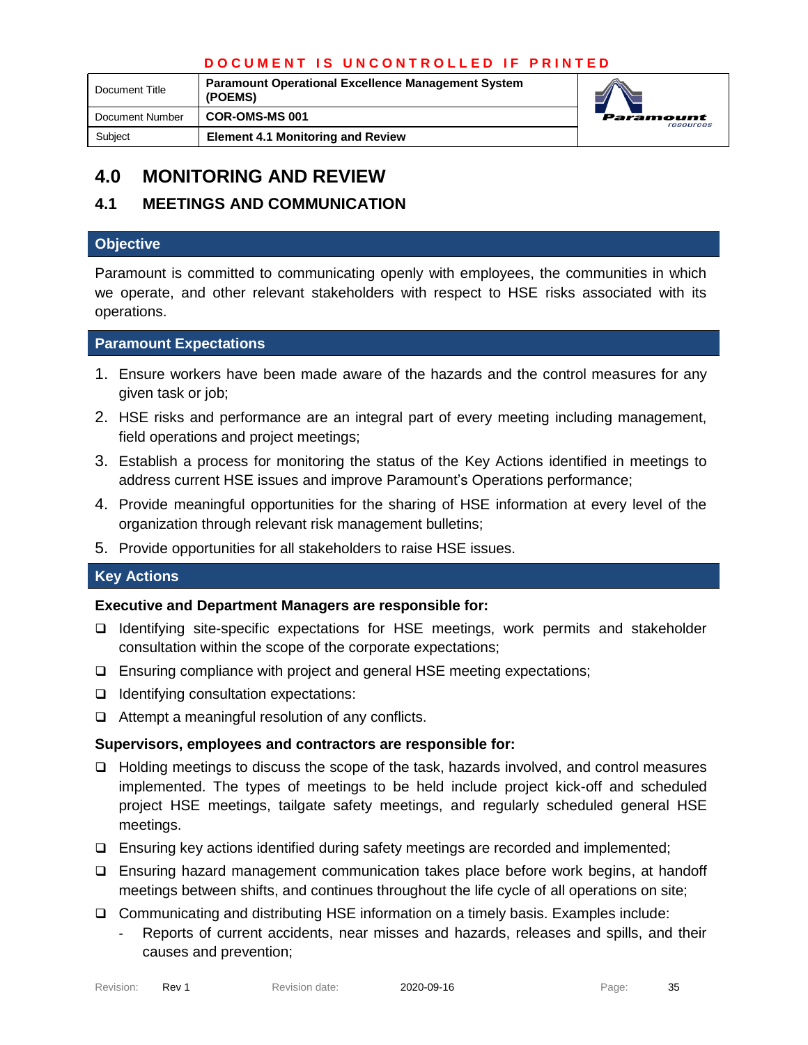| Document Title  | <b>Paramount Operational Excellence Management System</b><br>(POEMS) | Paramount<br>resources |
|-----------------|----------------------------------------------------------------------|------------------------|
| Document Number | <b>COR-OMS-MS 001</b>                                                |                        |
| Subject         | <b>Element 4.1 Monitoring and Review</b>                             |                        |

### <span id="page-34-0"></span>**4.0 MONITORING AND REVIEW**

### <span id="page-34-1"></span>**4.1 MEETINGS AND COMMUNICATION**

#### **Objective**

Paramount is committed to communicating openly with employees, the communities in which we operate, and other relevant stakeholders with respect to HSE risks associated with its operations.

#### **Paramount Expectations**

- 1. Ensure workers have been made aware of the hazards and the control measures for any given task or job;
- 2. HSE risks and performance are an integral part of every meeting including management, field operations and project meetings;
- 3. Establish a process for monitoring the status of the Key Actions identified in meetings to address current HSE issues and improve Paramount's Operations performance;
- 4. Provide meaningful opportunities for the sharing of HSE information at every level of the organization through relevant risk management bulletins;
- 5. Provide opportunities for all stakeholders to raise HSE issues.

### **Key Actions**

#### **Executive and Department Managers are responsible for:**

- ❑ Identifying site-specific expectations for HSE meetings, work permits and stakeholder consultation within the scope of the corporate expectations;
- ❑ Ensuring compliance with project and general HSE meeting expectations;
- ❑ Identifying consultation expectations:
- ❑ Attempt a meaningful resolution of any conflicts.

#### **Supervisors, employees and contractors are responsible for:**

- ❑ Holding meetings to discuss the scope of the task, hazards involved, and control measures implemented. The types of meetings to be held include project kick-off and scheduled project HSE meetings, tailgate safety meetings, and regularly scheduled general HSE meetings.
- ❑ Ensuring key actions identified during safety meetings are recorded and implemented;
- ❑ Ensuring hazard management communication takes place before work begins, at handoff meetings between shifts, and continues throughout the life cycle of all operations on site;
- ❑ Communicating and distributing HSE information on a timely basis. Examples include:
	- Reports of current accidents, near misses and hazards, releases and spills, and their causes and prevention;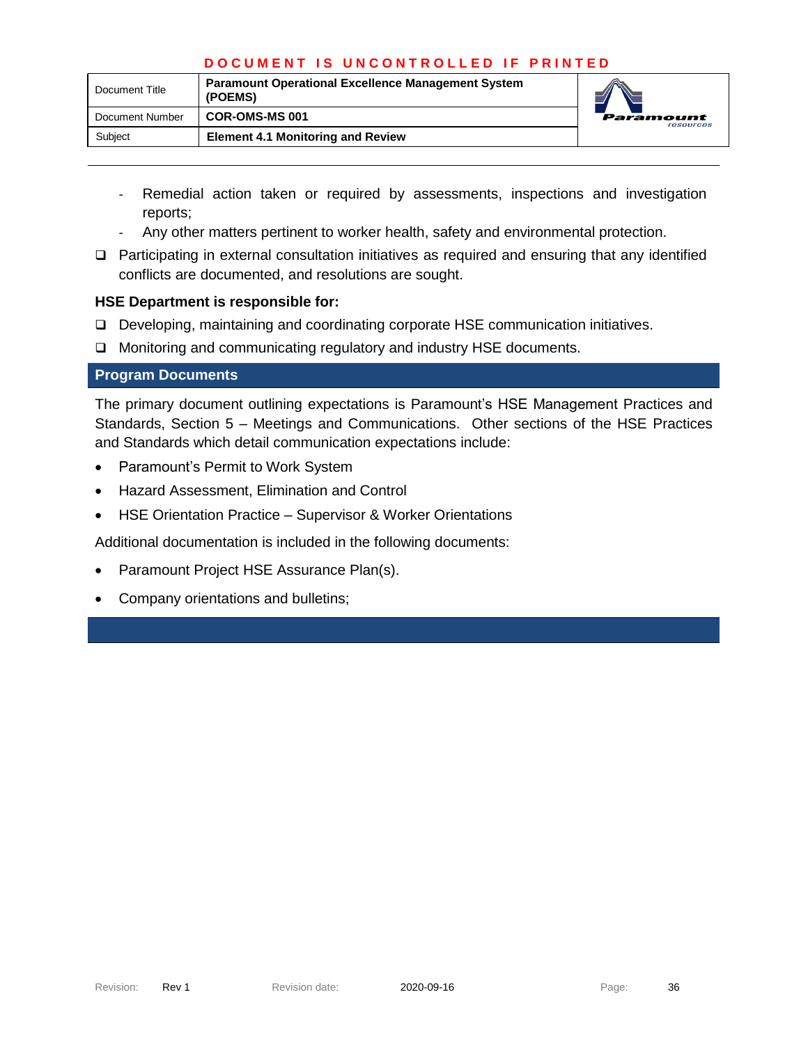| Document Title  | <b>Paramount Operational Excellence Management System</b><br>(POEMS) | Paramount<br>resources |
|-----------------|----------------------------------------------------------------------|------------------------|
| Document Number | <b>COR-OMS-MS 001</b>                                                |                        |
| Subject         | <b>Element 4.1 Monitoring and Review</b>                             |                        |

- Remedial action taken or required by assessments, inspections and investigation reports;
- Any other matters pertinent to worker health, safety and environmental protection.
- ❑ Participating in external consultation initiatives as required and ensuring that any identified conflicts are documented, and resolutions are sought.

#### **HSE Department is responsible for:**

- ❑ Developing, maintaining and coordinating corporate HSE communication initiatives.
- ❑ Monitoring and communicating regulatory and industry HSE documents.

#### **Program Documents**

The primary document outlining expectations is Paramount's HSE Management Practices and Standards, Section 5 – Meetings and Communications. Other sections of the HSE Practices and Standards which detail communication expectations include:

- Paramount's Permit to Work System
- Hazard Assessment, Elimination and Control
- HSE Orientation Practice Supervisor & Worker Orientations

Additional documentation is included in the following documents:

- Paramount Project HSE Assurance Plan(s).
- Company orientations and bulletins;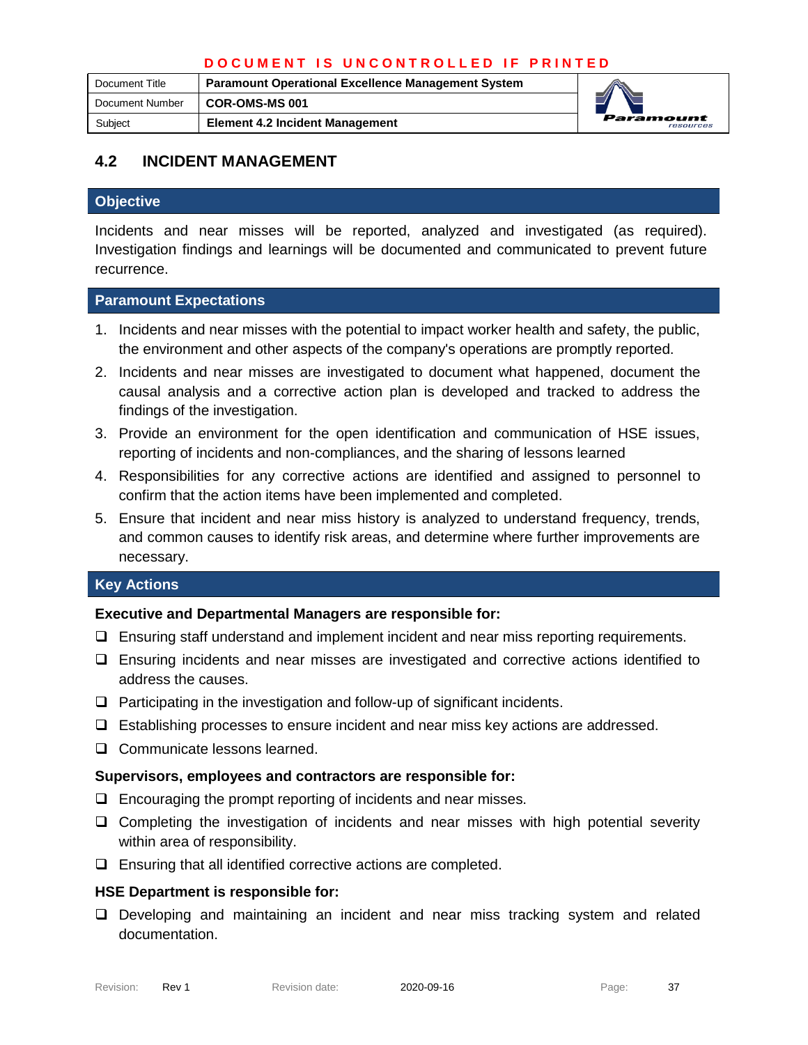| Document Title  | <b>Paramount Operational Excellence Management System</b> |                        |
|-----------------|-----------------------------------------------------------|------------------------|
| Document Number | COR-OMS-MS 001                                            |                        |
| Subject         | <b>Element 4.2 Incident Management</b>                    | Paramount<br>resources |

#### <span id="page-36-0"></span>**4.2 INCIDENT MANAGEMENT**

#### **Objective**

Incidents and near misses will be reported, analyzed and investigated (as required). Investigation findings and learnings will be documented and communicated to prevent future recurrence.

#### **Paramount Expectations**

- 1. Incidents and near misses with the potential to impact worker health and safety, the public, the environment and other aspects of the company's operations are promptly reported.
- 2. Incidents and near misses are investigated to document what happened, document the causal analysis and a corrective action plan is developed and tracked to address the findings of the investigation.
- 3. Provide an environment for the open identification and communication of HSE issues, reporting of incidents and non-compliances, and the sharing of lessons learned
- 4. Responsibilities for any corrective actions are identified and assigned to personnel to confirm that the action items have been implemented and completed.
- 5. Ensure that incident and near miss history is analyzed to understand frequency, trends, and common causes to identify risk areas, and determine where further improvements are necessary.

#### **Key Actions**

#### **Executive and Departmental Managers are responsible for:**

- ❑ Ensuring staff understand and implement incident and near miss reporting requirements.
- ❑ Ensuring incidents and near misses are investigated and corrective actions identified to address the causes.
- ❑ Participating in the investigation and follow-up of significant incidents.
- ❑ Establishing processes to ensure incident and near miss key actions are addressed.
- ❑ Communicate lessons learned.

#### **Supervisors, employees and contractors are responsible for:**

- ❑ Encouraging the prompt reporting of incidents and near misses.
- ❑ Completing the investigation of incidents and near misses with high potential severity within area of responsibility.
- ❑ Ensuring that all identified corrective actions are completed.

#### **HSE Department is responsible for:**

❑ Developing and maintaining an incident and near miss tracking system and related documentation.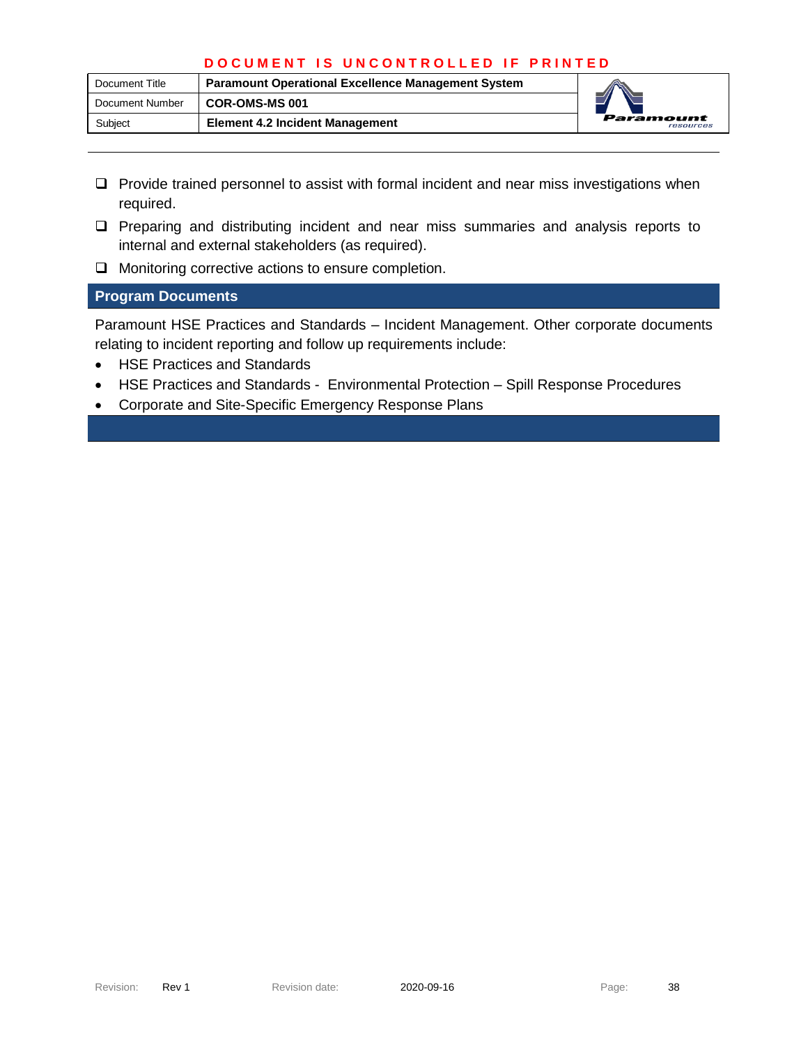| Document Title  | <b>Paramount Operational Excellence Management System</b> |                        |
|-----------------|-----------------------------------------------------------|------------------------|
| Document Number | ∣ COR-OMS-MS 001                                          |                        |
| Subject         | <b>Element 4.2 Incident Management</b>                    | Paramount<br>resources |

- ❑ Provide trained personnel to assist with formal incident and near miss investigations when required.
- ❑ Preparing and distributing incident and near miss summaries and analysis reports to internal and external stakeholders (as required).
- ❑ Monitoring corrective actions to ensure completion.

#### **Program Documents**

Paramount HSE Practices and Standards – Incident Management. Other corporate documents relating to incident reporting and follow up requirements include:

- HSE Practices and Standards
- HSE Practices and Standards Environmental Protection Spill Response Procedures
- Corporate and Site-Specific Emergency Response Plans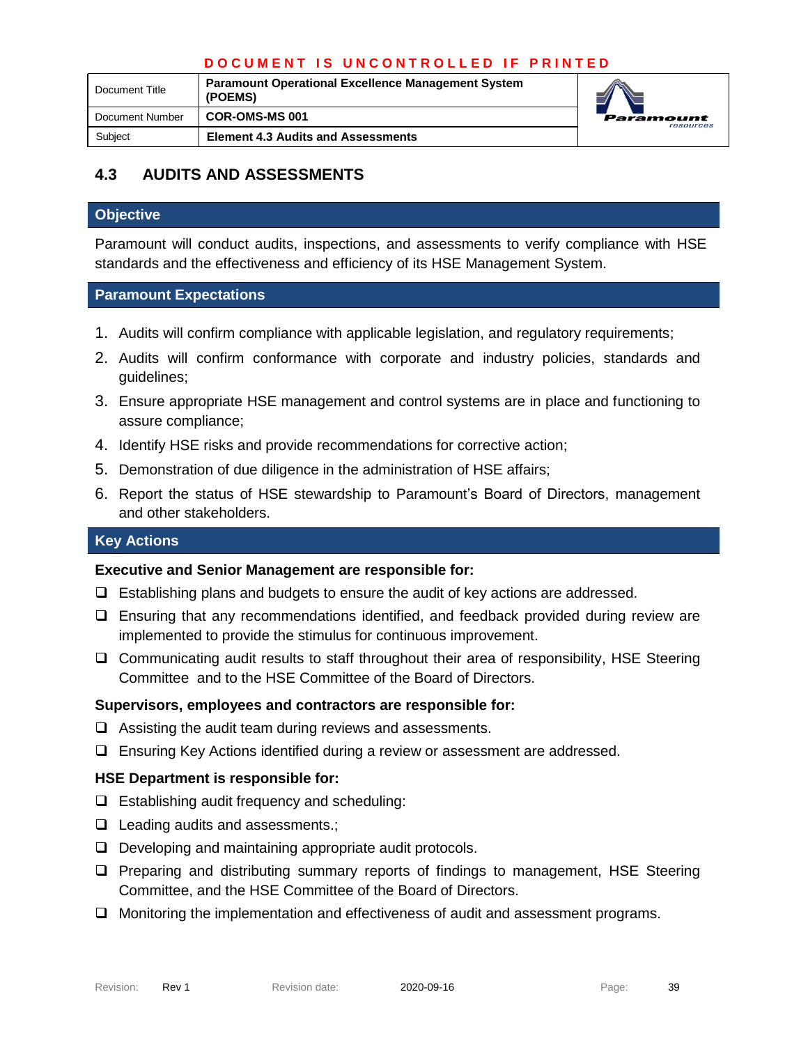| Document Title  | <b>Paramount Operational Excellence Management System</b><br>(POEMS) | Paramount<br>resource: |
|-----------------|----------------------------------------------------------------------|------------------------|
| Document Number | <b>COR-OMS-MS 001</b>                                                |                        |
| Subject         | <b>Element 4.3 Audits and Assessments</b>                            |                        |

### <span id="page-38-0"></span>**4.3 AUDITS AND ASSESSMENTS**

#### **Objective**

Paramount will conduct audits, inspections, and assessments to verify compliance with HSE standards and the effectiveness and efficiency of its HSE Management System.

#### **Paramount Expectations**

- 1. Audits will confirm compliance with applicable legislation, and regulatory requirements;
- 2. Audits will confirm conformance with corporate and industry policies, standards and guidelines;
- 3. Ensure appropriate HSE management and control systems are in place and functioning to assure compliance;
- 4. Identify HSE risks and provide recommendations for corrective action;
- 5. Demonstration of due diligence in the administration of HSE affairs;
- 6. Report the status of HSE stewardship to Paramount's Board of Directors, management and other stakeholders.

#### **Key Actions**

#### **Executive and Senior Management are responsible for:**

- ❑ Establishing plans and budgets to ensure the audit of key actions are addressed.
- ❑ Ensuring that any recommendations identified, and feedback provided during review are implemented to provide the stimulus for continuous improvement.
- ❑ Communicating audit results to staff throughout their area of responsibility, HSE Steering Committee and to the HSE Committee of the Board of Directors.

#### **Supervisors, employees and contractors are responsible for:**

- ❑ Assisting the audit team during reviews and assessments.
- ❑ Ensuring Key Actions identified during a review or assessment are addressed.

#### **HSE Department is responsible for:**

- ❑ Establishing audit frequency and scheduling:
- ❑ Leading audits and assessments.;
- ❑ Developing and maintaining appropriate audit protocols.
- ❑ Preparing and distributing summary reports of findings to management, HSE Steering Committee, and the HSE Committee of the Board of Directors.
- ❑ Monitoring the implementation and effectiveness of audit and assessment programs.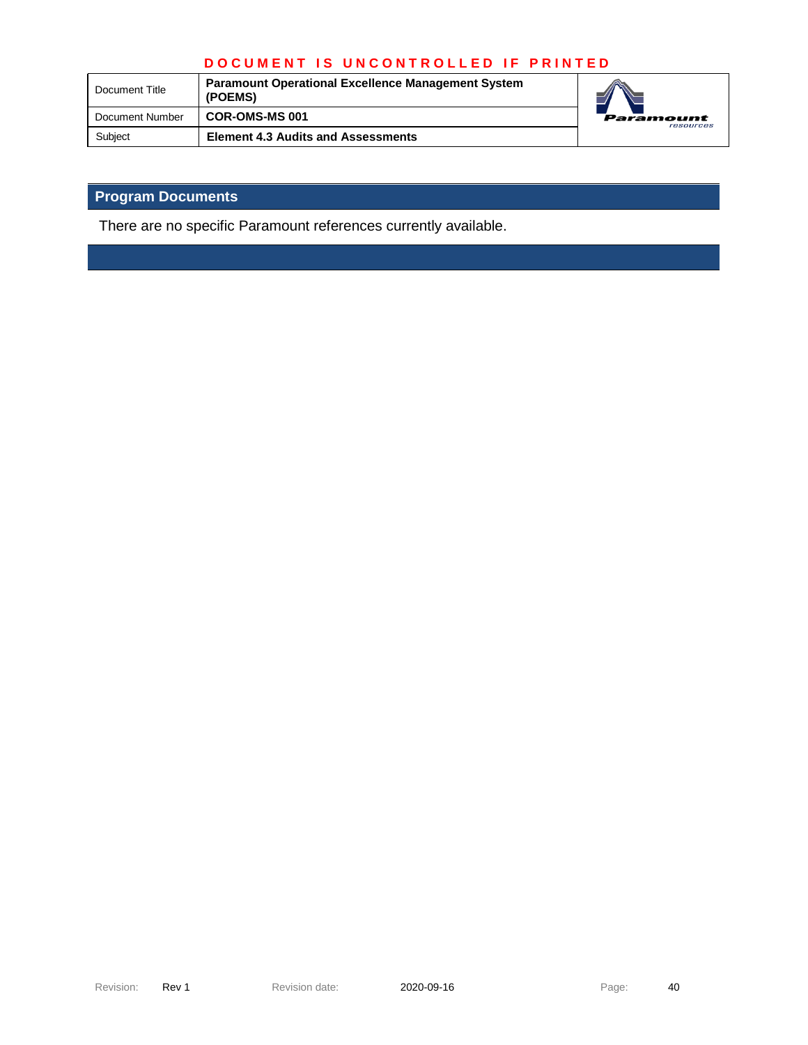| Document Title  | <b>Paramount Operational Excellence Management System</b><br>(POEMS) |                        |
|-----------------|----------------------------------------------------------------------|------------------------|
| Document Number | <b>COR-OMS-MS 001</b>                                                | Paramount<br>resources |
| Subject         | <b>Element 4.3 Audits and Assessments</b>                            |                        |

### **Program Documents**

There are no specific Paramount references currently available.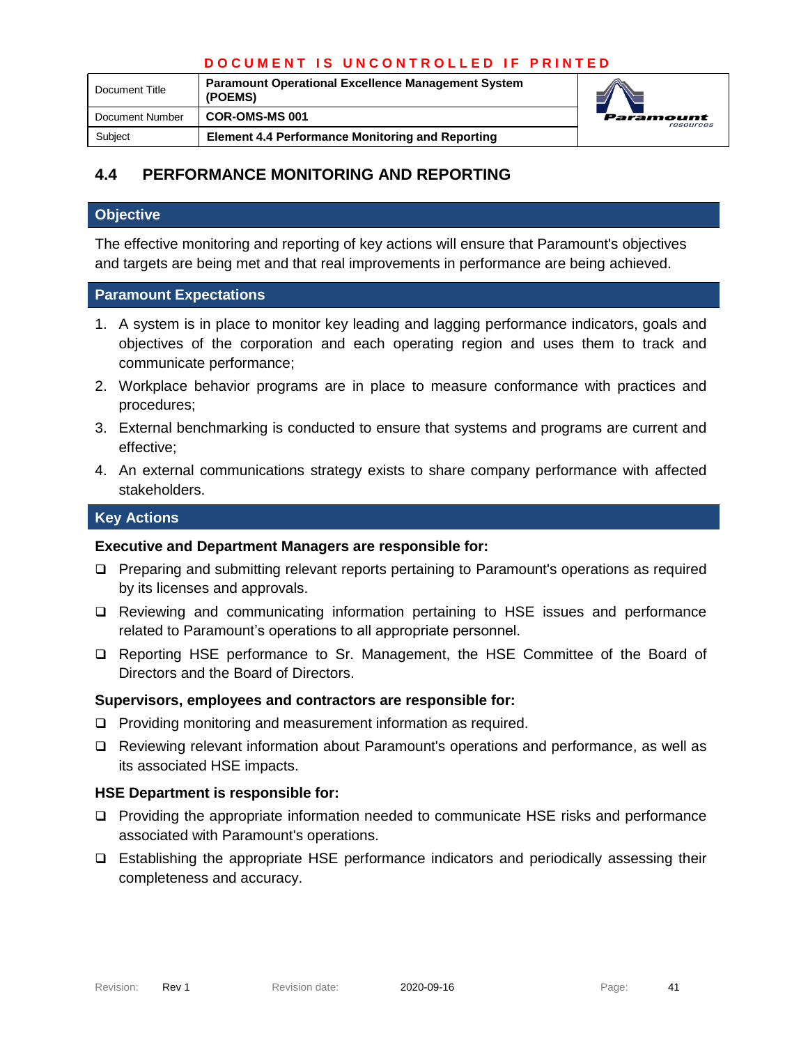| Document Title  | <b>Paramount Operational Excellence Management System</b><br>(POEMS) | Paramount<br>resources |
|-----------------|----------------------------------------------------------------------|------------------------|
| Document Number | <b>COR-OMS-MS 001</b>                                                |                        |
| Subject         | <b>Element 4.4 Performance Monitoring and Reporting</b>              |                        |

### <span id="page-40-0"></span>**4.4 PERFORMANCE MONITORING AND REPORTING**

#### **Objective**

The effective monitoring and reporting of key actions will ensure that Paramount's objectives and targets are being met and that real improvements in performance are being achieved.

#### **Paramount Expectations**

- 1. A system is in place to monitor key leading and lagging performance indicators, goals and objectives of the corporation and each operating region and uses them to track and communicate performance;
- 2. Workplace behavior programs are in place to measure conformance with practices and procedures;
- 3. External benchmarking is conducted to ensure that systems and programs are current and effective;
- 4. An external communications strategy exists to share company performance with affected stakeholders.

#### **Key Actions**

#### **Executive and Department Managers are responsible for:**

- ❑ Preparing and submitting relevant reports pertaining to Paramount's operations as required by its licenses and approvals.
- ❑ Reviewing and communicating information pertaining to HSE issues and performance related to Paramount's operations to all appropriate personnel.
- ❑ Reporting HSE performance to Sr. Management, the HSE Committee of the Board of Directors and the Board of Directors.

#### **Supervisors, employees and contractors are responsible for:**

- ❑ Providing monitoring and measurement information as required.
- ❑ Reviewing relevant information about Paramount's operations and performance, as well as its associated HSE impacts.

#### **HSE Department is responsible for:**

- ❑ Providing the appropriate information needed to communicate HSE risks and performance associated with Paramount's operations.
- ❑ Establishing the appropriate HSE performance indicators and periodically assessing their completeness and accuracy.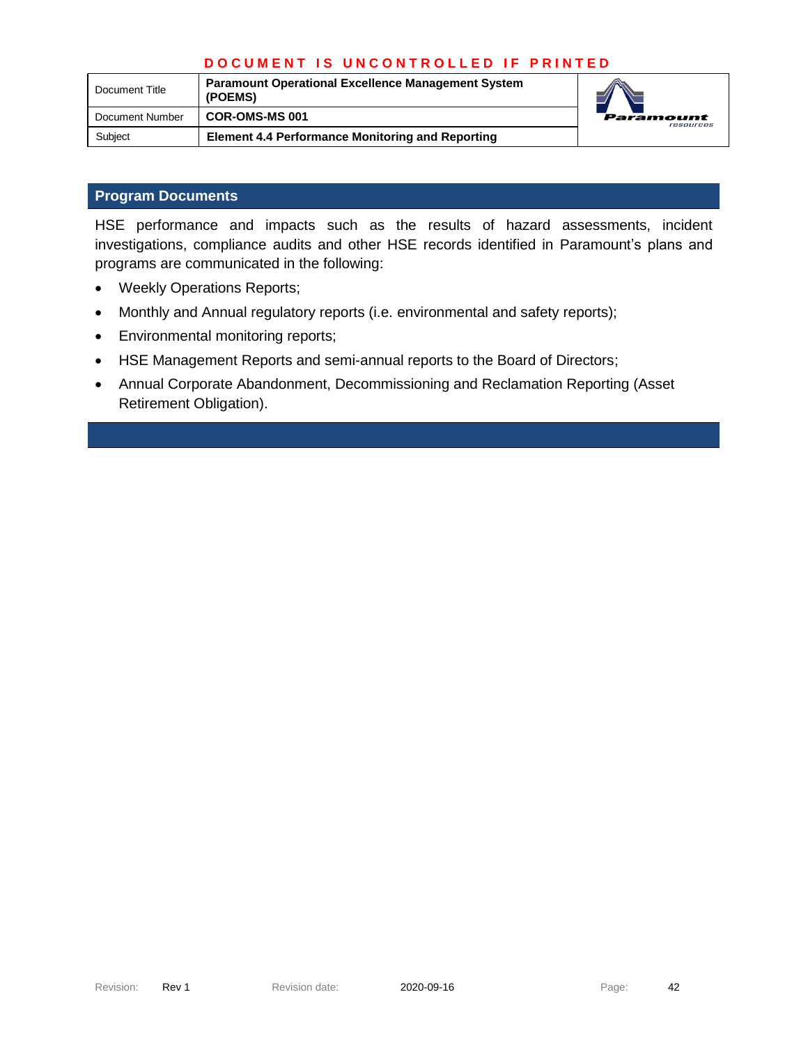| Document Title  | <b>Paramount Operational Excellence Management System</b><br>(POEMS) | Paramount<br>resources |
|-----------------|----------------------------------------------------------------------|------------------------|
| Document Number | <b>COR-OMS-MS 001</b>                                                |                        |
| Subject         | <b>Element 4.4 Performance Monitoring and Reporting</b>              |                        |

#### **Program Documents**

HSE performance and impacts such as the results of hazard assessments, incident investigations, compliance audits and other HSE records identified in Paramount's plans and programs are communicated in the following:

- Weekly Operations Reports;
- Monthly and Annual regulatory reports (i.e. environmental and safety reports);
- Environmental monitoring reports;
- HSE Management Reports and semi-annual reports to the Board of Directors;
- Annual Corporate Abandonment, Decommissioning and Reclamation Reporting (Asset Retirement Obligation).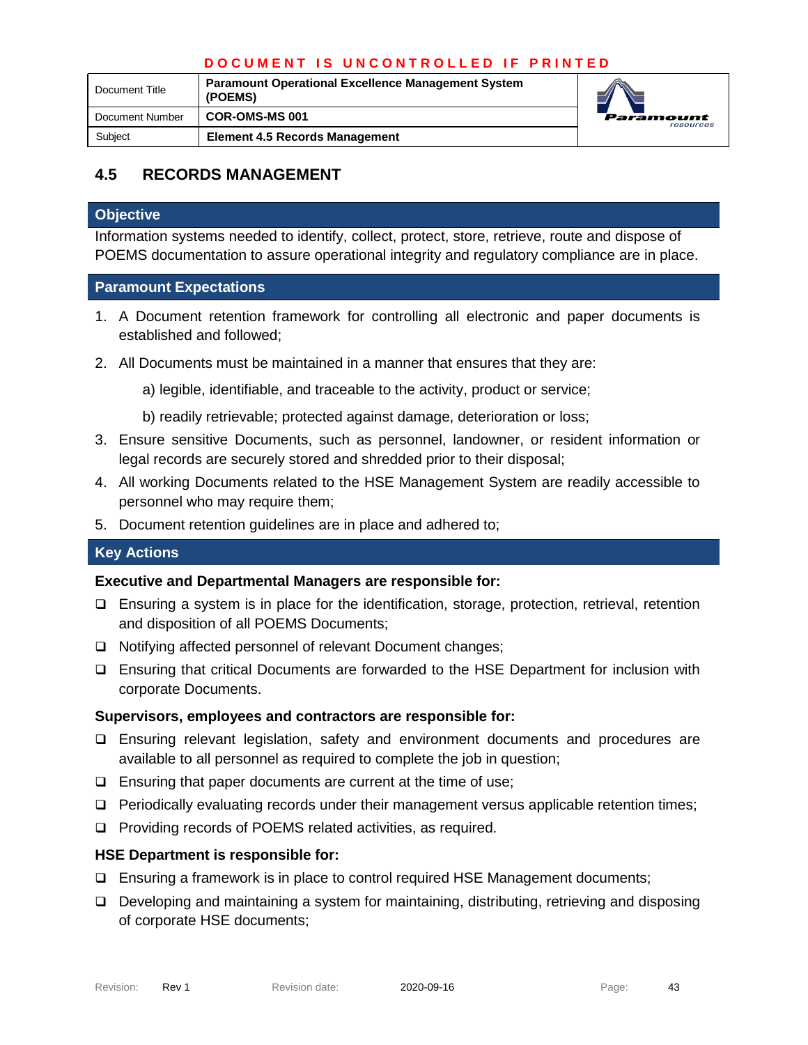| Document Title  | <b>Paramount Operational Excellence Management System</b><br>(POEMS) | Paramount<br>resources |
|-----------------|----------------------------------------------------------------------|------------------------|
| Document Number | <b>COR-OMS-MS 001</b>                                                |                        |
| Subject         | <b>Element 4.5 Records Management</b>                                |                        |

### <span id="page-42-0"></span>**4.5 RECORDS MANAGEMENT**

#### **Objective**

Information systems needed to identify, collect, protect, store, retrieve, route and dispose of POEMS documentation to assure operational integrity and regulatory compliance are in place.

#### **Paramount Expectations**

- 1. A Document retention framework for controlling all electronic and paper documents is established and followed;
- 2. All Documents must be maintained in a manner that ensures that they are:
	- a) legible, identifiable, and traceable to the activity, product or service;
	- b) readily retrievable; protected against damage, deterioration or loss;
- 3. Ensure sensitive Documents, such as personnel, landowner, or resident information or legal records are securely stored and shredded prior to their disposal;
- 4. All working Documents related to the HSE Management System are readily accessible to personnel who may require them;
- 5. Document retention guidelines are in place and adhered to;

#### **Key Actions**

#### **Executive and Departmental Managers are responsible for:**

- ❑ Ensuring a system is in place for the identification, storage, protection, retrieval, retention and disposition of all POEMS Documents;
- ❑ Notifying affected personnel of relevant Document changes;
- ❑ Ensuring that critical Documents are forwarded to the HSE Department for inclusion with corporate Documents.

#### **Supervisors, employees and contractors are responsible for:**

- ❑ Ensuring relevant legislation, safety and environment documents and procedures are available to all personnel as required to complete the job in question;
- ❑ Ensuring that paper documents are current at the time of use;
- ❑ Periodically evaluating records under their management versus applicable retention times;
- ❑ Providing records of POEMS related activities, as required.

#### **HSE Department is responsible for:**

- ❑ Ensuring a framework is in place to control required HSE Management documents;
- ❑ Developing and maintaining a system for maintaining, distributing, retrieving and disposing of corporate HSE documents;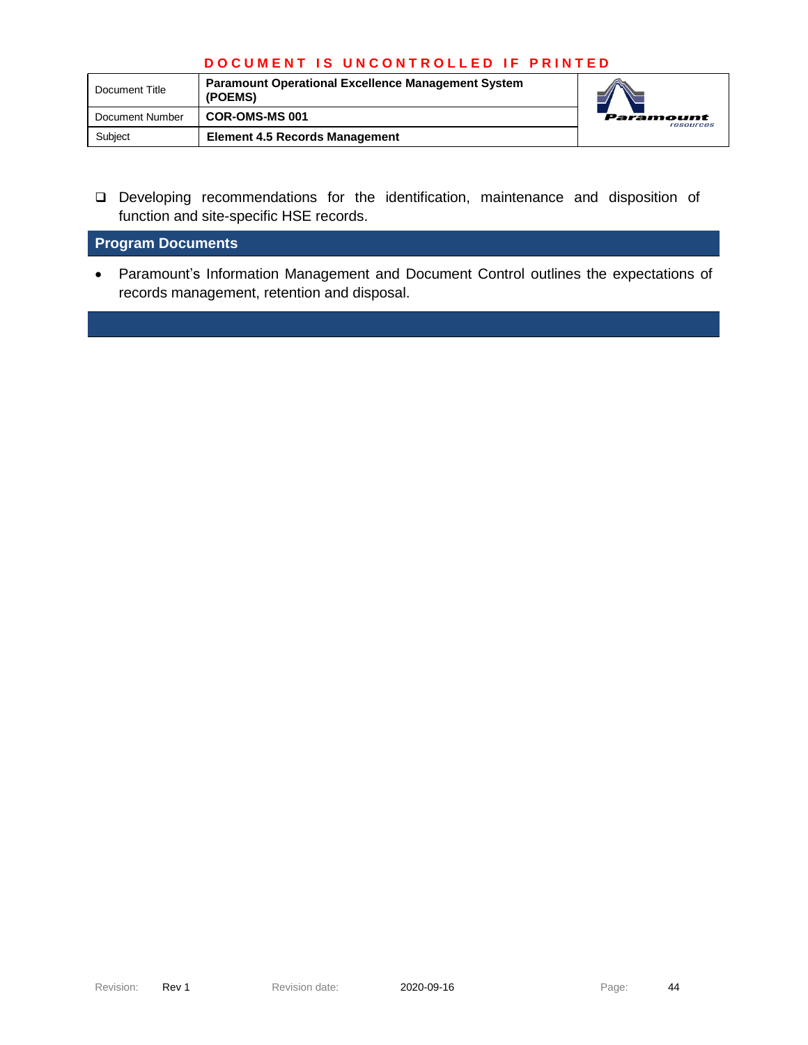| Document Title  | <b>Paramount Operational Excellence Management System</b><br>(POEMS) | Paramount<br>resources |
|-----------------|----------------------------------------------------------------------|------------------------|
| Document Number | <b>COR-OMS-MS 001</b>                                                |                        |
| Subiect         | <b>Element 4.5 Records Management</b>                                |                        |

❑ Developing recommendations for the identification, maintenance and disposition of function and site-specific HSE records.

### **Program Documents**

• Paramount's Information Management and Document Control outlines the expectations of records management, retention and disposal.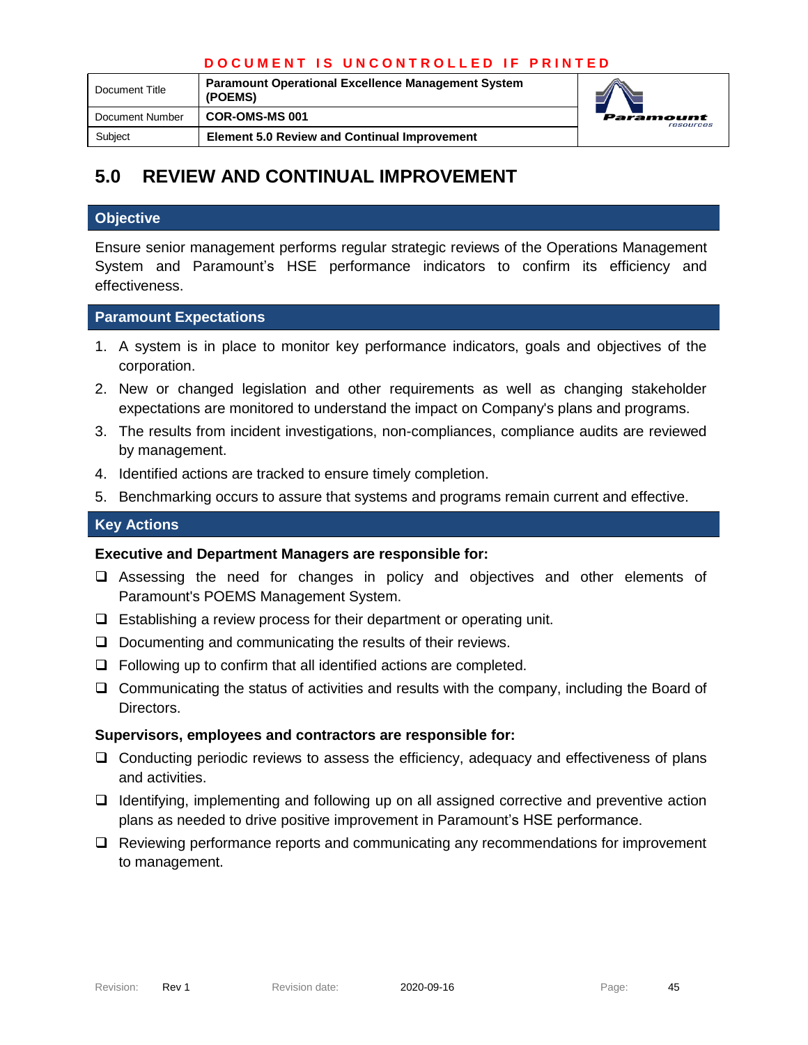| Document Title  | <b>Paramount Operational Excellence Management System</b><br>(POEMS) | Paramount<br>resources |
|-----------------|----------------------------------------------------------------------|------------------------|
| Document Number | <b>COR-OMS-MS 001</b>                                                |                        |
| Subject         | <b>Element 5.0 Review and Continual Improvement</b>                  |                        |

### <span id="page-44-0"></span>**5.0 REVIEW AND CONTINUAL IMPROVEMENT**

#### **Objective**

Ensure senior management performs regular strategic reviews of the Operations Management System and Paramount's HSE performance indicators to confirm its efficiency and effectiveness.

#### **Paramount Expectations**

- 1. A system is in place to monitor key performance indicators, goals and objectives of the corporation.
- 2. New or changed legislation and other requirements as well as changing stakeholder expectations are monitored to understand the impact on Company's plans and programs.
- 3. The results from incident investigations, non-compliances, compliance audits are reviewed by management.
- 4. Identified actions are tracked to ensure timely completion.
- 5. Benchmarking occurs to assure that systems and programs remain current and effective.

#### **Key Actions**

#### **Executive and Department Managers are responsible for:**

- ❑ Assessing the need for changes in policy and objectives and other elements of Paramount's POEMS Management System.
- ❑ Establishing a review process for their department or operating unit.
- ❑ Documenting and communicating the results of their reviews.
- ❑ Following up to confirm that all identified actions are completed.
- ❑ Communicating the status of activities and results with the company, including the Board of Directors.

#### **Supervisors, employees and contractors are responsible for:**

- ❑ Conducting periodic reviews to assess the efficiency, adequacy and effectiveness of plans and activities.
- ❑ Identifying, implementing and following up on all assigned corrective and preventive action plans as needed to drive positive improvement in Paramount's HSE performance.
- ❑ Reviewing performance reports and communicating any recommendations for improvement to management.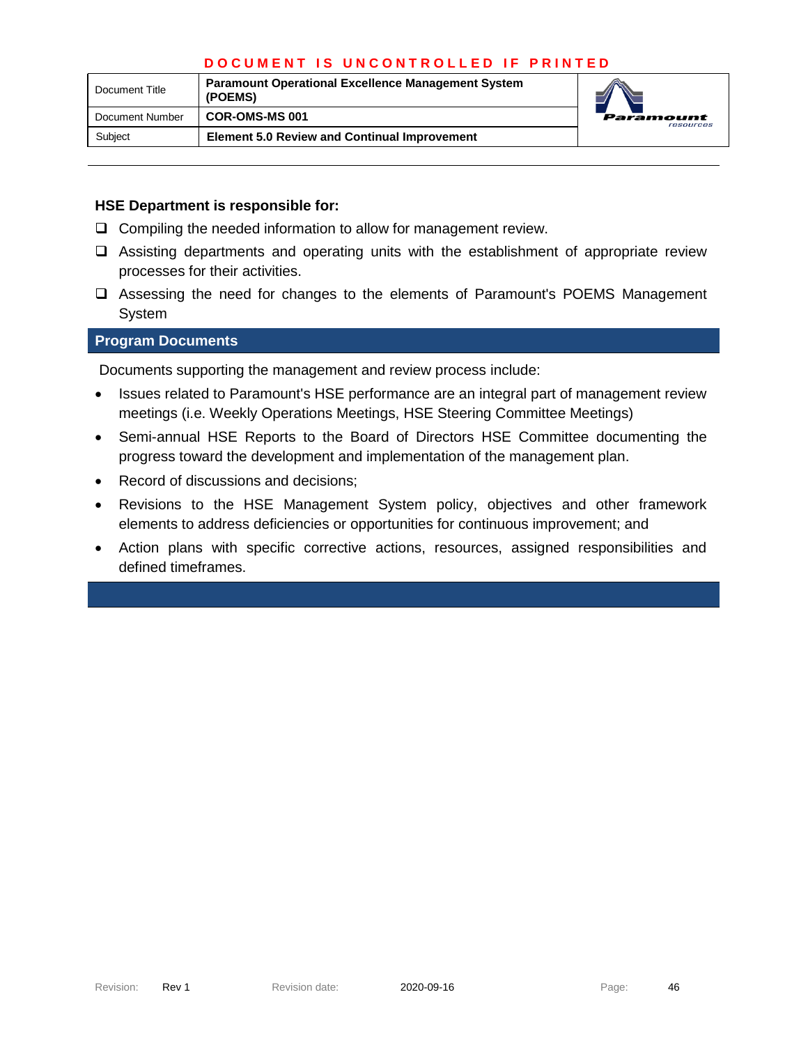| Document Title  | <b>Paramount Operational Excellence Management System</b><br>(POEMS) |                        |
|-----------------|----------------------------------------------------------------------|------------------------|
| Document Number | <b>COR-OMS-MS 001</b>                                                | Paramount<br>resources |
| Subject         | <b>Element 5.0 Review and Continual Improvement</b>                  |                        |

#### **HSE Department is responsible for:**

- ❑ Compiling the needed information to allow for management review.
- ❑ Assisting departments and operating units with the establishment of appropriate review processes for their activities.
- ❑ Assessing the need for changes to the elements of Paramount's POEMS Management System

#### **Program Documents**

Documents supporting the management and review process include:

- Issues related to Paramount's HSE performance are an integral part of management review meetings (i.e. Weekly Operations Meetings, HSE Steering Committee Meetings)
- Semi-annual HSE Reports to the Board of Directors HSE Committee documenting the progress toward the development and implementation of the management plan.
- Record of discussions and decisions;
- Revisions to the HSE Management System policy, objectives and other framework elements to address deficiencies or opportunities for continuous improvement; and
- Action plans with specific corrective actions, resources, assigned responsibilities and defined timeframes.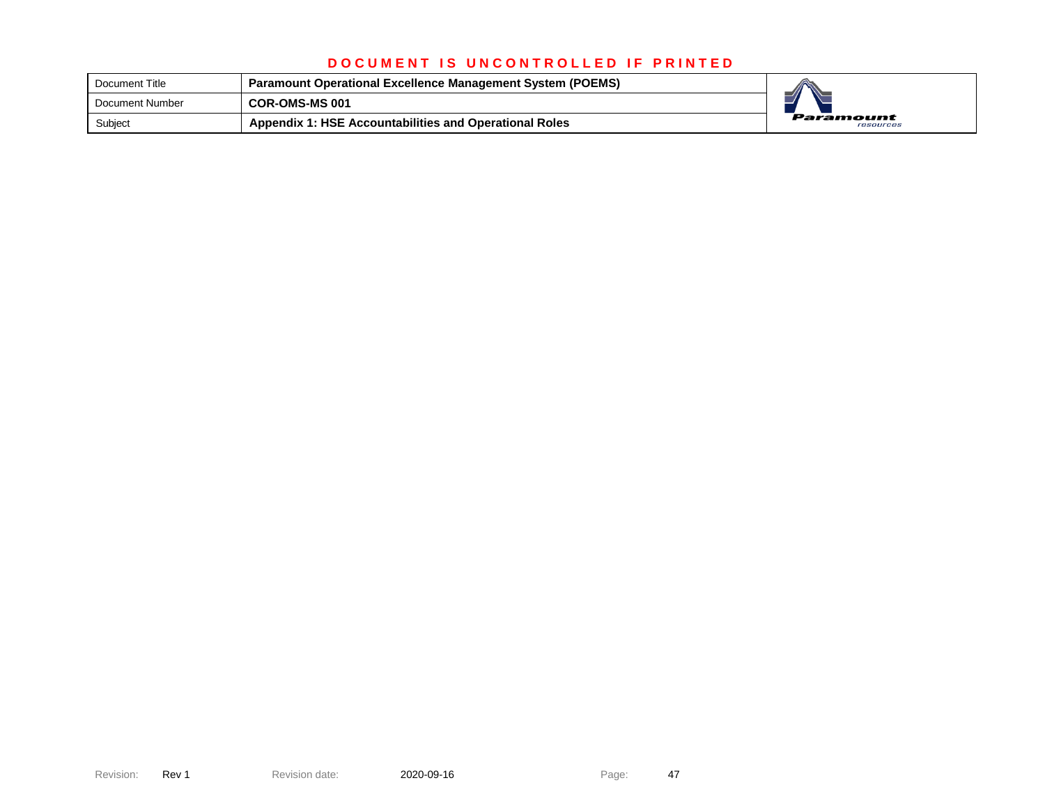| Document Title  | <b>Paramount Operational Excellence Management System (POEMS)</b> |                        |
|-----------------|-------------------------------------------------------------------|------------------------|
| Document Number | <b>COR-OMS-MS 001</b>                                             |                        |
| Subject         | <b>Appendix 1: HSE Accountabilities and Operational Roles</b>     | Paramount<br>resources |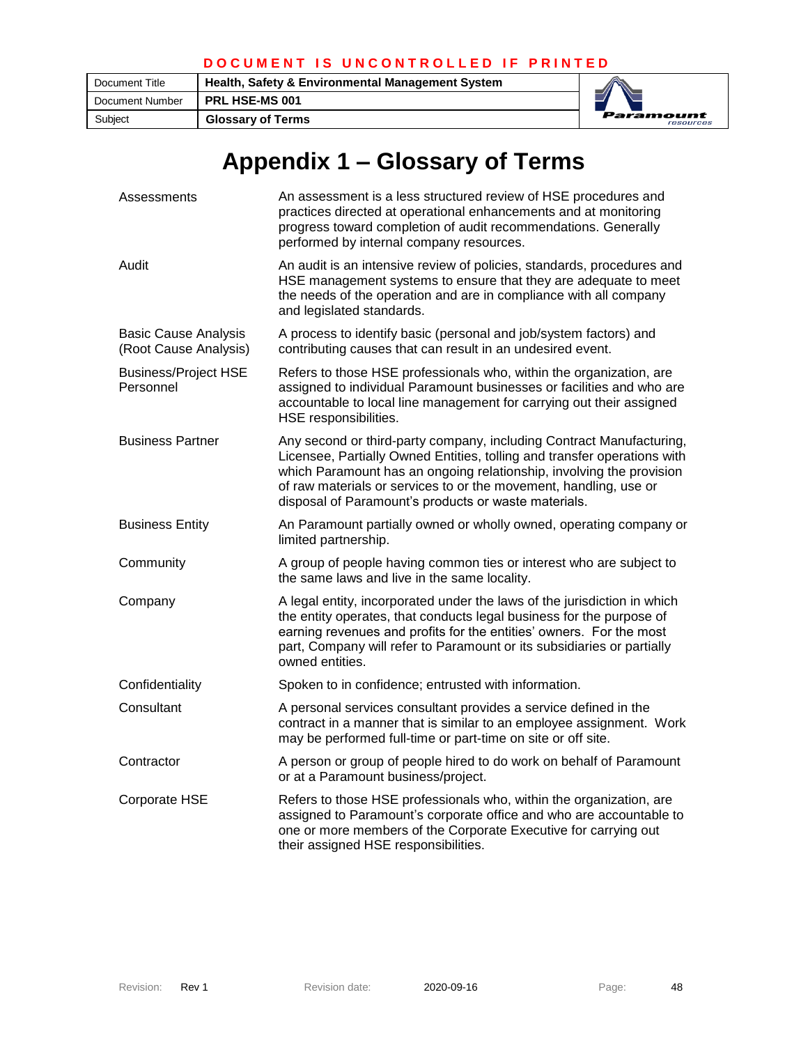| Document Title  | <b>Health, Safety &amp; Environmental Management System</b> | R                      |
|-----------------|-------------------------------------------------------------|------------------------|
| Document Number | <b>PRL HSE-MS 001</b>                                       |                        |
| Subject         | <b>Glossary of Terms</b>                                    | Paramount<br>resources |

## **Appendix 1 – Glossary of Terms**

<span id="page-47-0"></span>

| Assessments                                          | An assessment is a less structured review of HSE procedures and<br>practices directed at operational enhancements and at monitoring<br>progress toward completion of audit recommendations. Generally<br>performed by internal company resources.                                                                                                     |
|------------------------------------------------------|-------------------------------------------------------------------------------------------------------------------------------------------------------------------------------------------------------------------------------------------------------------------------------------------------------------------------------------------------------|
| Audit                                                | An audit is an intensive review of policies, standards, procedures and<br>HSE management systems to ensure that they are adequate to meet<br>the needs of the operation and are in compliance with all company<br>and legislated standards.                                                                                                           |
| <b>Basic Cause Analysis</b><br>(Root Cause Analysis) | A process to identify basic (personal and job/system factors) and<br>contributing causes that can result in an undesired event.                                                                                                                                                                                                                       |
| <b>Business/Project HSE</b><br>Personnel             | Refers to those HSE professionals who, within the organization, are<br>assigned to individual Paramount businesses or facilities and who are<br>accountable to local line management for carrying out their assigned<br>HSE responsibilities.                                                                                                         |
| <b>Business Partner</b>                              | Any second or third-party company, including Contract Manufacturing,<br>Licensee, Partially Owned Entities, tolling and transfer operations with<br>which Paramount has an ongoing relationship, involving the provision<br>of raw materials or services to or the movement, handling, use or<br>disposal of Paramount's products or waste materials. |
| <b>Business Entity</b>                               | An Paramount partially owned or wholly owned, operating company or<br>limited partnership.                                                                                                                                                                                                                                                            |
| Community                                            | A group of people having common ties or interest who are subject to<br>the same laws and live in the same locality.                                                                                                                                                                                                                                   |
| Company                                              | A legal entity, incorporated under the laws of the jurisdiction in which<br>the entity operates, that conducts legal business for the purpose of<br>earning revenues and profits for the entities' owners. For the most<br>part, Company will refer to Paramount or its subsidiaries or partially<br>owned entities.                                  |
| Confidentiality                                      | Spoken to in confidence; entrusted with information.                                                                                                                                                                                                                                                                                                  |
| Consultant                                           | A personal services consultant provides a service defined in the<br>contract in a manner that is similar to an employee assignment. Work<br>may be performed full-time or part-time on site or off site.                                                                                                                                              |
| Contractor                                           | A person or group of people hired to do work on behalf of Paramount<br>or at a Paramount business/project.                                                                                                                                                                                                                                            |
| Corporate HSE                                        | Refers to those HSE professionals who, within the organization, are<br>assigned to Paramount's corporate office and who are accountable to<br>one or more members of the Corporate Executive for carrying out<br>their assigned HSE responsibilities.                                                                                                 |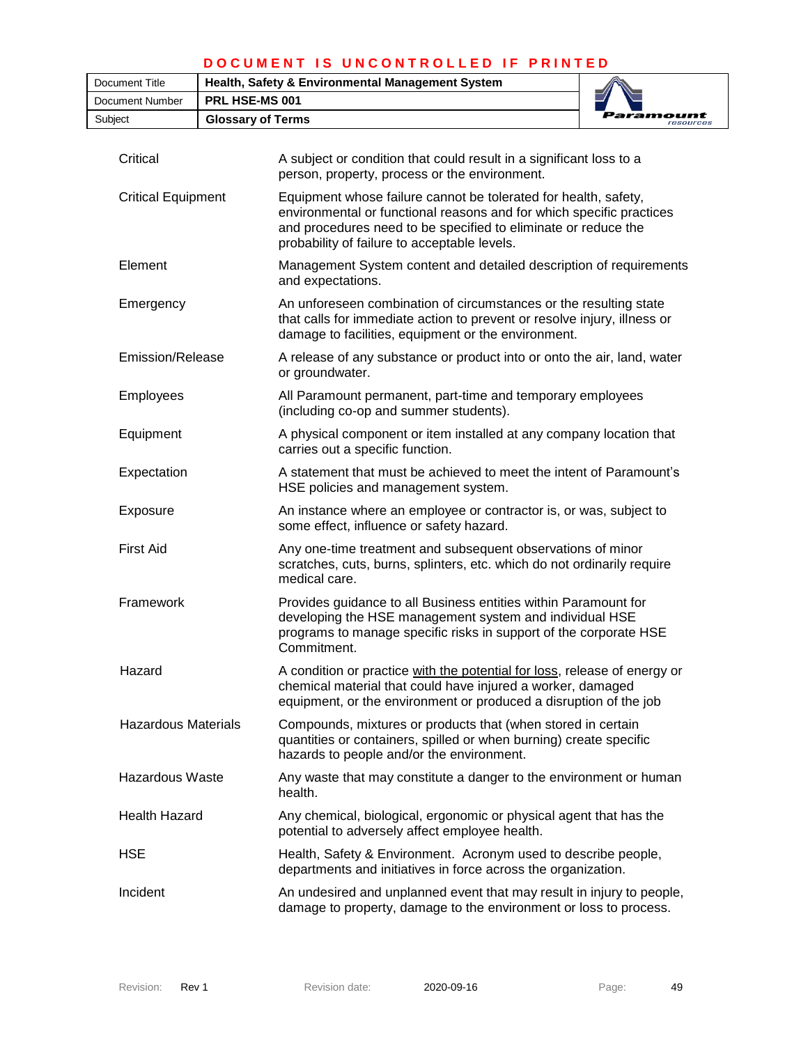| DOCUMENT IS UNCONTROLLED IF PRINTED |                          |                                                                                                                                                                                                                                                           |           |  |
|-------------------------------------|--------------------------|-----------------------------------------------------------------------------------------------------------------------------------------------------------------------------------------------------------------------------------------------------------|-----------|--|
| <b>Document Title</b>               |                          | Health, Safety & Environmental Management System                                                                                                                                                                                                          |           |  |
| <b>Document Number</b>              | PRL HSE-MS 001           |                                                                                                                                                                                                                                                           |           |  |
| Subject                             | <b>Glossary of Terms</b> |                                                                                                                                                                                                                                                           | resources |  |
| Critical                            |                          | A subject or condition that could result in a significant loss to a<br>person, property, process or the environment.                                                                                                                                      |           |  |
| <b>Critical Equipment</b>           |                          | Equipment whose failure cannot be tolerated for health, safety,<br>environmental or functional reasons and for which specific practices<br>and procedures need to be specified to eliminate or reduce the<br>probability of failure to acceptable levels. |           |  |
| Element                             |                          | Management System content and detailed description of requirements<br>and expectations.                                                                                                                                                                   |           |  |
| Emergency                           |                          | An unforeseen combination of circumstances or the resulting state<br>that calls for immediate action to prevent or resolve injury, illness or<br>damage to facilities, equipment or the environment.                                                      |           |  |
| Emission/Release                    |                          | A release of any substance or product into or onto the air, land, water<br>or groundwater.                                                                                                                                                                |           |  |
| Employees                           |                          | All Paramount permanent, part-time and temporary employees<br>(including co-op and summer students).                                                                                                                                                      |           |  |
| Equipment                           |                          | A physical component or item installed at any company location that<br>carries out a specific function.                                                                                                                                                   |           |  |
| Expectation                         |                          | A statement that must be achieved to meet the intent of Paramount's<br>HSE policies and management system.                                                                                                                                                |           |  |
| Exposure                            |                          | An instance where an employee or contractor is, or was, subject to<br>some effect, influence or safety hazard.                                                                                                                                            |           |  |
| <b>First Aid</b>                    |                          | Any one-time treatment and subsequent observations of minor<br>scratches, cuts, burns, splinters, etc. which do not ordinarily require<br>medical care.                                                                                                   |           |  |
| Framework                           |                          | Provides guidance to all Business entities within Paramount for<br>developing the HSE management system and individual HSE<br>programs to manage specific risks in support of the corporate HSE<br>Commitment.                                            |           |  |
| Hazard                              |                          | A condition or practice with the potential for loss, release of energy or<br>chemical material that could have injured a worker, damaged<br>equipment, or the environment or produced a disruption of the job                                             |           |  |
| <b>Hazardous Materials</b>          |                          | Compounds, mixtures or products that (when stored in certain<br>quantities or containers, spilled or when burning) create specific<br>hazards to people and/or the environment.                                                                           |           |  |
| <b>Hazardous Waste</b>              |                          | Any waste that may constitute a danger to the environment or human<br>health.                                                                                                                                                                             |           |  |
| <b>Health Hazard</b>                |                          | Any chemical, biological, ergonomic or physical agent that has the<br>potential to adversely affect employee health.                                                                                                                                      |           |  |
| <b>HSE</b>                          |                          | Health, Safety & Environment. Acronym used to describe people,<br>departments and initiatives in force across the organization.                                                                                                                           |           |  |
| Incident                            |                          | An undesired and unplanned event that may result in injury to people,<br>damage to property, damage to the environment or loss to process.                                                                                                                |           |  |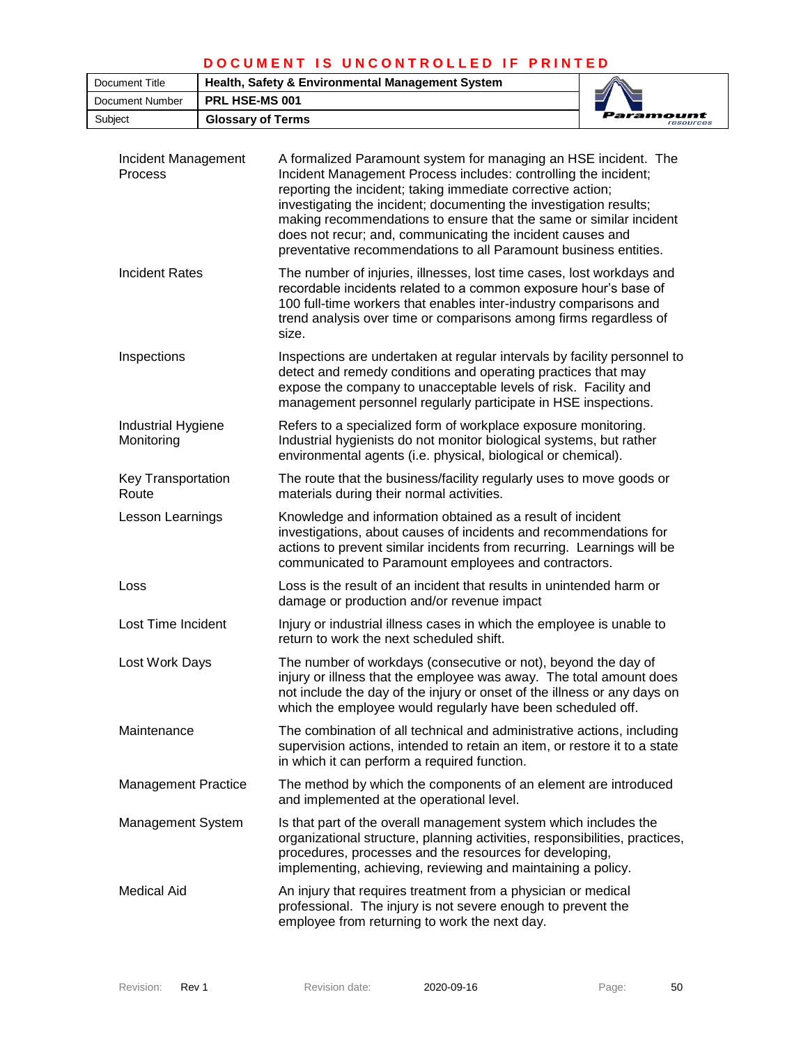| Document Title  | <b>Health, Safety &amp; Environmental Management System</b> |                        |
|-----------------|-------------------------------------------------------------|------------------------|
| Document Number | <b>PRL HSE-MS 001</b>                                       |                        |
| Subject         | <b>Glossary of Terms</b>                                    | Paramount<br>resources |

| Incident Management<br>Process     | A formalized Paramount system for managing an HSE incident. The<br>Incident Management Process includes: controlling the incident;<br>reporting the incident; taking immediate corrective action;<br>investigating the incident; documenting the investigation results;<br>making recommendations to ensure that the same or similar incident<br>does not recur; and, communicating the incident causes and<br>preventative recommendations to all Paramount business entities. |
|------------------------------------|---------------------------------------------------------------------------------------------------------------------------------------------------------------------------------------------------------------------------------------------------------------------------------------------------------------------------------------------------------------------------------------------------------------------------------------------------------------------------------|
| <b>Incident Rates</b>              | The number of injuries, illnesses, lost time cases, lost workdays and<br>recordable incidents related to a common exposure hour's base of<br>100 full-time workers that enables inter-industry comparisons and<br>trend analysis over time or comparisons among firms regardless of<br>size.                                                                                                                                                                                    |
| Inspections                        | Inspections are undertaken at regular intervals by facility personnel to<br>detect and remedy conditions and operating practices that may<br>expose the company to unacceptable levels of risk. Facility and<br>management personnel regularly participate in HSE inspections.                                                                                                                                                                                                  |
| Industrial Hygiene<br>Monitoring   | Refers to a specialized form of workplace exposure monitoring.<br>Industrial hygienists do not monitor biological systems, but rather<br>environmental agents (i.e. physical, biological or chemical).                                                                                                                                                                                                                                                                          |
| <b>Key Transportation</b><br>Route | The route that the business/facility regularly uses to move goods or<br>materials during their normal activities.                                                                                                                                                                                                                                                                                                                                                               |
| Lesson Learnings                   | Knowledge and information obtained as a result of incident<br>investigations, about causes of incidents and recommendations for<br>actions to prevent similar incidents from recurring. Learnings will be<br>communicated to Paramount employees and contractors.                                                                                                                                                                                                               |
| Loss                               | Loss is the result of an incident that results in unintended harm or<br>damage or production and/or revenue impact                                                                                                                                                                                                                                                                                                                                                              |
| Lost Time Incident                 | Injury or industrial illness cases in which the employee is unable to<br>return to work the next scheduled shift.                                                                                                                                                                                                                                                                                                                                                               |
| Lost Work Days                     | The number of workdays (consecutive or not), beyond the day of<br>injury or illness that the employee was away. The total amount does<br>not include the day of the injury or onset of the illness or any days on<br>which the employee would regularly have been scheduled off.                                                                                                                                                                                                |
| Maintenance                        | The combination of all technical and administrative actions, including<br>supervision actions, intended to retain an item, or restore it to a state<br>in which it can perform a required function.                                                                                                                                                                                                                                                                             |
| <b>Management Practice</b>         | The method by which the components of an element are introduced<br>and implemented at the operational level.                                                                                                                                                                                                                                                                                                                                                                    |
| Management System                  | Is that part of the overall management system which includes the<br>organizational structure, planning activities, responsibilities, practices,<br>procedures, processes and the resources for developing,<br>implementing, achieving, reviewing and maintaining a policy.                                                                                                                                                                                                      |
| <b>Medical Aid</b>                 | An injury that requires treatment from a physician or medical<br>professional. The injury is not severe enough to prevent the<br>employee from returning to work the next day.                                                                                                                                                                                                                                                                                                  |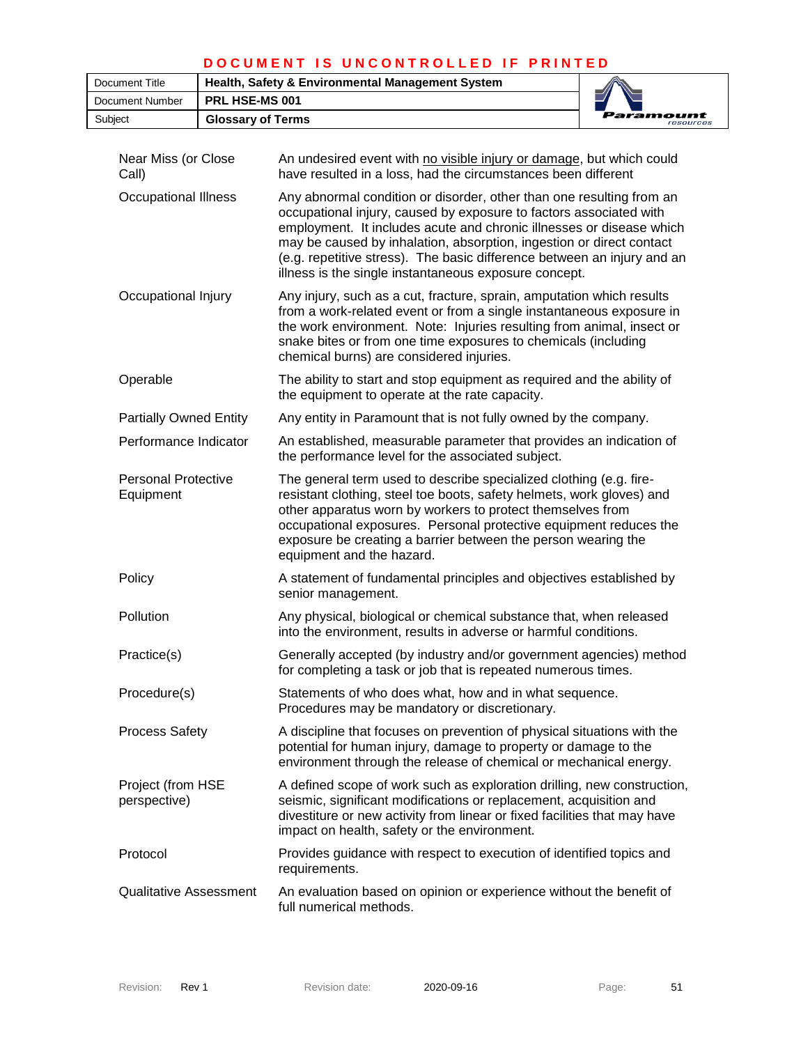| Document Title  | <b>Health, Safety &amp; Environmental Management System</b> |                        |
|-----------------|-------------------------------------------------------------|------------------------|
| Document Number | <b>PRL HSE-MS 001</b>                                       |                        |
| Subject         | <b>Glossary of Terms</b>                                    | Paramount<br>resources |

| Any abnormal condition or disorder, other than one resulting from an<br>employment. It includes acute and chronic illnesses or disease which<br>may be caused by inhalation, absorption, ingestion or direct contact<br>(e.g. repetitive stress). The basic difference between an injury and an<br>from a work-related event or from a single instantaneous exposure in<br>the work environment. Note: Injuries resulting from animal, insect or<br>An established, measurable parameter that provides an indication of<br>occupational exposures. Personal protective equipment reduces the |
|----------------------------------------------------------------------------------------------------------------------------------------------------------------------------------------------------------------------------------------------------------------------------------------------------------------------------------------------------------------------------------------------------------------------------------------------------------------------------------------------------------------------------------------------------------------------------------------------|
|                                                                                                                                                                                                                                                                                                                                                                                                                                                                                                                                                                                              |
|                                                                                                                                                                                                                                                                                                                                                                                                                                                                                                                                                                                              |
|                                                                                                                                                                                                                                                                                                                                                                                                                                                                                                                                                                                              |
|                                                                                                                                                                                                                                                                                                                                                                                                                                                                                                                                                                                              |
|                                                                                                                                                                                                                                                                                                                                                                                                                                                                                                                                                                                              |
|                                                                                                                                                                                                                                                                                                                                                                                                                                                                                                                                                                                              |
| A statement of fundamental principles and objectives established by                                                                                                                                                                                                                                                                                                                                                                                                                                                                                                                          |
|                                                                                                                                                                                                                                                                                                                                                                                                                                                                                                                                                                                              |
| Generally accepted (by industry and/or government agencies) method                                                                                                                                                                                                                                                                                                                                                                                                                                                                                                                           |
|                                                                                                                                                                                                                                                                                                                                                                                                                                                                                                                                                                                              |
| A discipline that focuses on prevention of physical situations with the                                                                                                                                                                                                                                                                                                                                                                                                                                                                                                                      |
| A defined scope of work such as exploration drilling, new construction,<br>divestiture or new activity from linear or fixed facilities that may have                                                                                                                                                                                                                                                                                                                                                                                                                                         |
|                                                                                                                                                                                                                                                                                                                                                                                                                                                                                                                                                                                              |
|                                                                                                                                                                                                                                                                                                                                                                                                                                                                                                                                                                                              |
|                                                                                                                                                                                                                                                                                                                                                                                                                                                                                                                                                                                              |